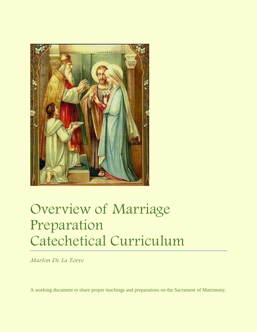

## Overview of Marriage Preparation Catechetical Curriculum

Marlon De La Torre

A working document to share proper teachings and preparations on the Sacrament of Matrimony.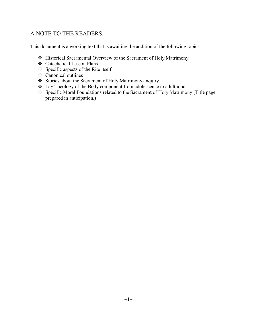## A NOTE TO THE READERS:

This document is a working text that is awaiting the addition of the following topics.

- Historical Sacramental Overview of the Sacrament of Holy Matrimony
- Catechetical Lesson Plans
- $\div$  Specific aspects of the Rite itself
- $\triangleleft$  Canonical outlines
- Stories about the Sacrament of Holy Matrimony-Inquiry
- Lay Theology of the Body component from adolescence to adulthood.
- Specific Moral Foundations related to the Sacrament of Holy Matrimony (Title page prepared in anticipation.)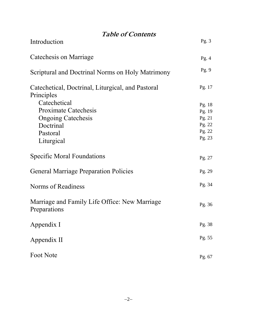| <b>Table of Contents</b>                                        | Pg. $3$          |
|-----------------------------------------------------------------|------------------|
| Introduction                                                    |                  |
| Catechesis on Marriage                                          | Pg. $4$          |
| Scriptural and Doctrinal Norms on Holy Matrimony                | Pg. 9            |
| Catechetical, Doctrinal, Liturgical, and Pastoral<br>Principles | Pg. 17           |
| Catechetical                                                    | Pg. 18           |
| <b>Proximate Catechesis</b>                                     | Pg. 19           |
| <b>Ongoing Catechesis</b>                                       | Pg. 21<br>Pg. 22 |
| Doctrinal                                                       | Pg. $22$         |
| Pastoral<br>Liturgical                                          | Pg. 23           |
| <b>Specific Moral Foundations</b>                               | Pg. 27           |
| <b>General Marriage Preparation Policies</b>                    | Pg. $29$         |
| Norms of Readiness                                              | Pg. 34           |
| Marriage and Family Life Office: New Marriage<br>Preparations   | Pg. 36           |
| Appendix I                                                      | Pg. 38           |
| Appendix II                                                     | Pg. 55           |
| <b>Foot Note</b>                                                | Pg. 67           |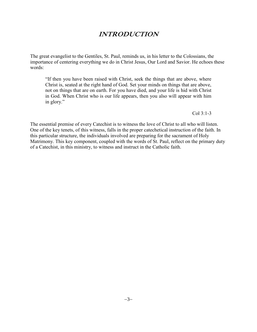## **INTRODUCTION**

The great evangelist to the Gentiles, St. Paul, reminds us, in his letter to the Colossians, the importance of centering everything we do in Christ Jesus, Our Lord and Savior. He echoes these words:

"If then you have been raised with Christ, seek the things that are above, where Christ is, seated at the right hand of God. Set your minds on things that are above, not on things that are on earth. For you have died, and your life is hid with Christ in God. When Christ who is our life appears, then you also will appear with him in glory."

Col 3:1-3

The essential premise of every Catechist is to witness the love of Christ to all who will listen. One of the key tenets, of this witness, falls in the proper catechetical instruction of the faith. In this particular structure, the individuals involved are preparing for the sacrament of Holy Matrimony. This key component, coupled with the words of St. Paul, reflect on the primary duty of a Catechist, in this ministry, to witness and instruct in the Catholic faith.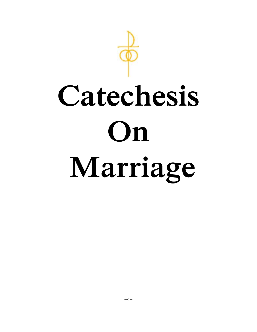

# **Catechesis On Marriage**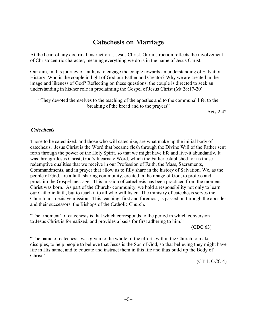## **Catechesis on Marriage**

At the heart of any doctrinal instruction is Jesus Christ. Our instruction reflects the involvement of Christocentric character, meaning everything we do is in the name of Jesus Christ.

Our aim, in this journey of faith, is to engage the couple towards an understanding of Salvation History. Who is the couple in light of God our Father and Creator? Why we are created in the image and likeness of God? Reflecting on these questions, the couple is directed to seek an understanding in his/her role in proclaiming the Gospel of Jesus Christ (Mt 28:17-20).

"They devoted themselves to the teaching of the apostles and to the communal life, to the breaking of the bread and to the prayers"

Acts 2:42

## **Catechesis**

Those to be catechized, and those who will catechize, are what make-up the initial body of catechesis. Jesus Christ is the Word that became flesh through the Divine Will of the Father sent forth through the power of the Holy Spirit, so that we might have life and live-it abundantly. It was through Jesus Christ, God's Incarnate Word, which the Father established for us those redemptive qualities that we receive in our Profession of Faith, the Mass, Sacraments, Commandments, and in prayer that allow us to filly share in the history of Salvation. We, as the people of God, are a faith sharing community, created in the image of God, to profess and proclaim the Gospel message. This mission of catechesis has been practiced from the moment Christ was born. As part of the Church- community, we hold a responsibility not only to learn our Catholic faith, but to teach it to all who will listen. The ministry of catechesis serves the Church in a decisive mission. This teaching, first and foremost, is passed on through the apostles and their successors, the Bishops of the Catholic Church.

"The 'moment' of catechesis is that which corresponds to the period in which conversion to Jesus Christ is formalized, and provides a basis for first adhering to him."

(GDC 63)

"The name of catechesis was given to the whole of the efforts within the Church to make disciples, to help people to believe that Jesus is the Son of God, so that believing they might have life in His name, and to educate and instruct them in this life and thus build up the Body of Christ."

(CT 1, CCC 4)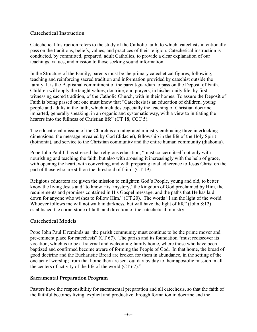## **Catechetical Instruction**

Catechetical Instruction refers to the study of the Catholic faith, to which, catechists intentionally pass on the traditions, beliefs, values, and practices of their religion. Catechetical instruction is conducted, by committed, prepared, adult Catholics, to provide a clear explanation of our teachings, values, and mission to those seeking sound information.

In the Structure of the Family, parents must be the primary catechetical figures, following, teaching and reinforcing sacred tradition and information provided by catechist outside the family. It is the Baptismal commitment of the parent/guardian to pass on the Deposit of Faith. Children will apply the taught values, doctrine, and prayers, in his/her daily life, by first witnessing sacred tradition, of the Catholic Church, with in their homes. To assure the Deposit of Faith is being passed on; one must know that "Catechesis is an education of children, young people and adults in the faith, which includes especially the teaching of Christian doctrine imparted, generally speaking, in an organic and systematic way, with a view to initiating the hearers into the fullness of Christian life" (CT 18, CCC 5).

The educational mission of the Church is an integrated ministry embracing three interlocking dimensions: the message revealed by God (didache), fellowship in the life of the Holy Spirit (koinonia), and service to the Christian community and the entire human community (diakonia).

Pope John Paul II has stressed that religious education; "must concern itself not only with nourishing and teaching the faith, but also with arousing it increasingly with the help of grace, with opening the heart, with converting, and with preparing total adherence to Jesus Christ on the part of those who are still on the threshold of faith" (CT 19).

Religious educators are given the mission to enlighten God's People, young and old, to better know the living Jesus and "to know His 'mystery,' the kingdom of God proclaimed by Him, the requirements and promises contained in His Gospel message, and the paths that He has laid down for anyone who wishes to follow Him." (CT 20). The words "I am the light of the world. Whoever follows me will not walk in darkness, but will have the light of life" (John 8:12) established the cornerstone of faith and direction of the catechetical ministry.

## **Catechetical Models**

Pope John Paul II reminds us "the parish community must continue to be the prime mover and pre-eminent place for catechesis" (CT 67). The parish and its foundation "must rediscover its vocation, which is to be a fraternal and welcoming family home, where those who have been baptized and confirmed become aware of forming the People of God. In that home, the bread of good doctrine and the Eucharistic Bread are broken for them in abundance, in the setting of the one act of worship; from that home they are sent out day by day to their apostolic mission in all the centers of activity of the life of the world (CT 67)."

## **Sacramental Preparation Program**

Pastors have the responsibility for sacramental preparation and all catechesis, so that the faith of the faithful becomes living, explicit and productive through formation in doctrine and the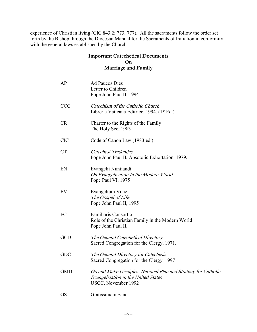experience of Christian living (CIC 843.2; 773; 777). All the sacraments follow the order set forth by the Bishop through the Diocesan Manual for the Sacraments of Initiation in conformity with the general laws established by the Church.

## **Important Catechetical Documents On Marriage and Family**

| AP         | <b>Ad Paucos Dies</b><br>Letter to Children<br>Pope John Paul II, 1994                                                              |
|------------|-------------------------------------------------------------------------------------------------------------------------------------|
| <b>CCC</b> | Catechism of the Catholic Church<br>Libreria Vaticana Editrice, 1994. (1st Ed.)                                                     |
| <b>CR</b>  | Charter to the Rights of the Family<br>The Holy See, 1983                                                                           |
| <b>CIC</b> | Code of Canon Law (1983 ed.)                                                                                                        |
| <b>CT</b>  | Catechesi Tradendae<br>Pope John Paul II, Apsotolic Exhortation, 1979.                                                              |
| EN         | Evangelii Nuntiandi<br>On Evangelization In the Modern World<br>Pope Paul VI, 1975                                                  |
| EV         | Evangelium Vitae<br>The Gospel of Life<br>Pope John Paul II, 1995                                                                   |
| FC         | Familiaris Consortio<br>Role of the Christian Family in the Modern World<br>Pope John Paul II,                                      |
| <b>GCD</b> | The General Catechetical Directory<br>Sacred Congregation for the Clergy, 1971.                                                     |
| <b>GDC</b> | The General Directory for Catechesis<br>Sacred Congregation for the Clergy, 1997                                                    |
| <b>GMD</b> | Go and Make Disciples: National Plan and Strategy for Catholic<br><b>Evangelization in the United States</b><br>USCC, November 1992 |
| <b>GS</b>  | Gratissimam Sane                                                                                                                    |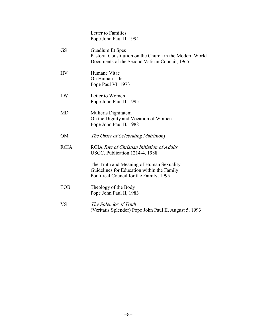Letter to Families Pope John Paul II, 1994

| <b>GS</b>   | Guadium Et Spes<br>Pastoral Constitution on the Church in the Modern World<br>Documents of the Second Vatican Council, 1965       |
|-------------|-----------------------------------------------------------------------------------------------------------------------------------|
| <b>HV</b>   | Humane Vitae<br>On Human Life<br>Pope Paul VI, 1973                                                                               |
| LW          | Letter to Women<br>Pope John Paul II, 1995                                                                                        |
| <b>MD</b>   | Mulieris Dignitatem<br>On the Dignity and Vocation of Women<br>Pope John Paul II, 1988                                            |
| <b>OM</b>   | The Order of Celebrating Matrimony                                                                                                |
| <b>RCIA</b> | RCIA Rite of Christian Initiation of Adults<br>USCC, Publication 1214-4, 1988                                                     |
|             | The Truth and Meaning of Human Sexuality<br>Guidelines for Education within the Family<br>Pontifical Council for the Family, 1995 |
| <b>TOB</b>  | Theology of the Body<br>Pope John Paul II, 1983                                                                                   |
| VS          | The Splendor of Truth<br>(Veritatis Splendor) Pope John Paul II, August 5, 1993                                                   |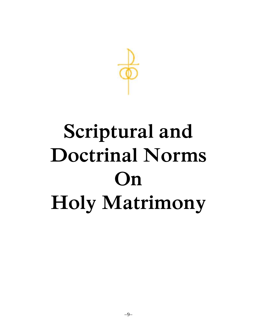

## **Scriptural and Doctrinal Norms On Holy Matrimony**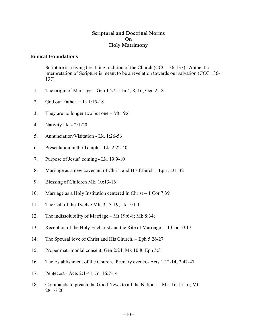## **Scriptural and Doctrinal Norms On Holy Matrimony**

## **Biblical Foundations**

Scripture is a living breathing tradition of the Church (CCC 136-137). Authentic interpretation of Scripture is meant to be a revelation towards our salvation (CCC 136- 137).

- 1. The origin of Marriage Gen 1:27; 1 Jn 4, 8, 16; Gen 2:18
- 2. God our Father. Jn 1:15-18
- 3. They are no longer two but one Mt 19:6
- 4. Nativity Lk. 2:1-20
- 5. Annunciation/Visitation Lk. 1:26-56
- 6. Presentation in the Temple Lk. 2:22-40
- 7. Purpose of Jesus' coming Lk. 19:9-10
- 8. Marriage as a new covenant of Christ and His Church Eph 5:31-32
- 9. Blessing of Children Mk. 10:13-16
- 10. Marriage as a Holy Institution centered in Christ 1 Cor 7:39
- 11. The Call of the Twelve Mk. 3:13-19; Lk. 5:1-11
- 12. The indissolubility of Marriage Mt 19:6-8; Mk 8:34;
- 13. Reception of the Holy Eucharist and the Rite of Marriage. 1 Cor 10:17
- 14. The Spousal love of Christ and His Church. Eph 5:26-27
- 15. Proper matrimonial consent. Gen 2:24; Mk 10:8; Eph 5:31
- 16. The Establishment of the Church. Primary events.- Acts 1:12-14, 2:42-47
- 17. Pentecost Acts 2:1-41, Jn. 16:7-14
- 18. Commands to preach the Good News to all the Nations. Mk. 16:15-16; Mt. 28:16-20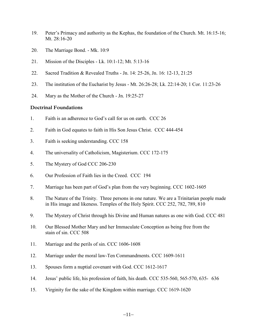- 19. Peter's Primacy and authority as the Kephas, the foundation of the Church. Mt. 16:15-16; Mt. 28:16-20
- 20. The Marriage Bond. Mk. 10:9
- 21. Mission of the Disciples Lk. 10:1-12; Mt. 5:13-16
- 22. Sacred Tradition & Revealed Truths Jn. 14: 25-26, Jn. 16: 12-13, 21:25
- 23. The institution of the Eucharist by Jesus Mt. 26:26-28; Lk. 22:14-20; 1 Cor. 11:23-26
- 24. Mary as the Mother of the Church Jn. 19:25-27

## **Doctrinal Foundations**

- 1. Faith is an adherence to God's call for us on earth. CCC 26
- 2. Faith in God equates to faith in His Son Jesus Christ. CCC 444-454
- 3. Faith is seeking understanding. CCC 158
- 4. The universality of Catholicism, Magisterium. CCC 172-175
- 5. The Mystery of God CCC 206-230
- 6. Our Profession of Faith lies in the Creed. CCC 194
- 7. Marriage has been part of God's plan from the very beginning. CCC 1602-1605
- 8. The Nature of the Trinity. Three persons in one nature. We are a Trinitarian people made in His image and likeness. Temples of the Holy Spirit. CCC 252, 782, 789, 810
- 9. The Mystery of Christ through his Divine and Human natures as one with God. CCC 481
- 10. Our Blessed Mother Mary and her Immaculate Conception as being free from the stain of sin. CCC 508
- 11. Marriage and the perils of sin. CCC 1606-1608
- 12. Marriage under the moral law-Ten Commandments. CCC 1609-1611
- 13. Spouses form a nuptial covenant with God. CCC 1612-1617
- 14. Jesus' public life, his profession of faith, his death. CCC 535-560, 565-570, 635- 636
- 15. Virginity for the sake of the Kingdom within marriage. CCC 1619-1620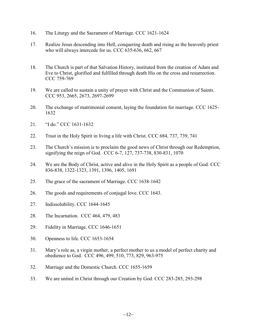- 16. The Liturgy and the Sacrament of Marriage. CCC 1621-1624
- 17. Realize Jesus descending into Hell, conquering death and rising as the heavenly priest who will always intercede for us. CCC 635-636, 662, 667
- 18. The Church is part of that Salvation History, instituted from the creation of Adam and Eve to Christ, glorified and fulfilled through death His on the cross and resurrection. CCC 759-769
- 19. We are called to sustain a unity of prayer with Christ and the Communion of Saints. CCC 953, 2665, 2673, 2697-2699
- 20. The exchange of matrimonial consent, laying the foundation for marriage. CCC 1625- 1632
- 21. "I do." CCC 1631-1632
- 22. Trust in the Holy Spirit in living a life with Christ. CCC 684, 737, 739, 741
- 23. The Church's mission is to proclaim the good news of Christ through our Redemption, signifying the reign of God. CCC 6-7, 127, 737-738, 830-831, 1070
- 24. We are the Body of Christ, active and alive in the Holy Spirit as a people of God. CCC 836-838, 1322-1323, 1391, 1396, 1405, 1691
- 25. The grace of the sacrament of Marriage. CCC 1638-1642
- 26. The goods and requirements of conjugal love. CCC 1643.
- 27. Indissolubility. CCC 1644-1645
- 28. The Incarnation. CCC 464, 479, 483
- 29. Fidelity in Marriage. CCC 1646-1651
- 30. Openness to life. CCC 1653-1654
- 31. Mary's role as, a virgin mother, a perfect mother to us a model of perfect charity and obedience to God. CCC 496, 499, 510, 773, 829, 963-975
- 32. Marriage and the Domestic Church. CCC 1655-1659
- 33. We are united in Christ through our Creation by God. CCC 283-285, 293-298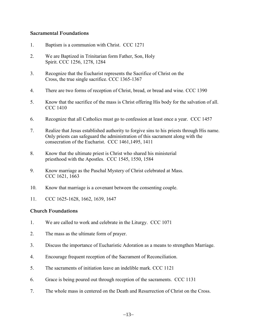## **Sacramental Foundations**

- 1. Baptism is a communion with Christ. CCC 1271
- 2. We are Baptized in Trinitarian form Father, Son, Holy Spirit. CCC 1256, 1278, 1284
- 3. Recognize that the Eucharist represents the Sacrifice of Christ on the Cross, the true single sacrifice. CCC 1365-1367
- 4. There are two forms of reception of Christ, bread, or bread and wine. CCC 1390
- 5. Know that the sacrifice of the mass is Christ offering His body for the salvation of all. CCC 1410
- 6. Recognize that all Catholics must go to confession at least once a year. CCC 1457
- 7. Realize that Jesus established authority to forgive sins to his priests through His name. Only priests can safeguard the administration of this sacrament along with the consecration of the Eucharist. CCC 1461,1495, 1411
- 8. Know that the ultimate priest is Christ who shared his ministerial priesthood with the Apostles. CCC 1545, 1550, 1584
- 9. Know marriage as the Paschal Mystery of Christ celebrated at Mass. CCC 1621, 1663
- 10. Know that marriage is a covenant between the consenting couple.
- 11. CCC 1625-1628, 1662, 1639, 1647

## **Church Foundations**

- 1. We are called to work and celebrate in the Liturgy. CCC 1071
- 2. The mass as the ultimate form of prayer.
- 3. Discuss the importance of Eucharistic Adoration as a means to strengthen Marriage.
- 4. Encourage frequent reception of the Sacrament of Reconciliation.
- 5. The sacraments of initiation leave an indelible mark. CCC 1121
- 6. Grace is being poured out through reception of the sacraments. CCC 1131
- 7. The whole mass in centered on the Death and Resurrection of Christ on the Cross.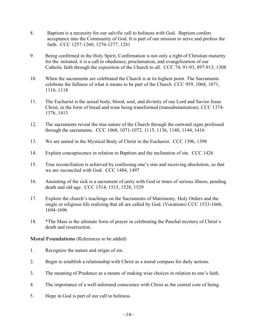- 8. Baptism is a necessity for our salvific call to holiness with God. Baptism confers acceptance into the Community of God. It is part of our mission to serve and profess the faith. CCC 1257-1260, 1276-1277, 1281
- 9. Being confirmed in the Holy Spirit, Confirmation is not only a right of Christian maturity for the initiated, it is a call to obedience, proclamation, and evangelization of our Catholic faith through the exposition of the Church to all. CCC 74, 91-93, 897-913, 1308
- 10. When the sacraments are celebrated the Church is at its highest point. The Sacraments celebrate the fullness of what it means to be part of the Church CCC 959, 1068, 1071, 1116, 1118
- 11. The Eucharist is the actual body, blood, soul, and divinity of our Lord and Savior Jesus Christ, in the form of bread and wine being transformed (transubstantiation). CCC 1374- 1376, 1413
- 12. The sacraments reveal the true nature of the Church through the outward signs professed through the sacraments. CCC 1068, 1071-1072, 1115, 1136, 1140, 1144, 1416
- 13. We are united in the Mystical Body of Christ in the Eucharist. CCC 1396, 1398
- 14. Explain concupiscence in relation to Baptism and the inclination of sin. CCC 1426
- 15. True reconciliation is achieved by confessing one's sins and receiving absolution, so that we are reconciled with God. CCC 1484, 1497
- 16. Anointing of the sick is a sacrament of unity with God in times of serious illness, pending death and old age. CCC 1514, 1515, 1528, 1529
- 17. Explore the church's teachings on the Sacraments of Matrimony, Holy Orders and the single or religious life realizing that all are called by God. (Vocations) CCC 1533-1666, 1694-1696
- 18. \*The Mass is the ultimate form of prayer in celebrating the Paschal mystery of Christ's death and resurrection.

## **Moral Foundations** (References to be added)

- 1. Recognize the nature and origin of sin.
- 2. Begin to establish a relationship with Christ as a moral compass for daily actions.
- 3. The meaning of Prudence as a means of making wise choices in relation to one's faith.
- 4. The importance of a well-informed conscience with Christ as the central core of being.
- 5. Hope in God is part of our call to holiness.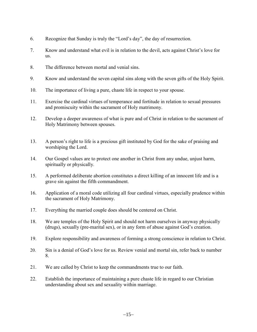- 6. Recognize that Sunday is truly the "Lord's day", the day of resurrection.
- 7. Know and understand what evil is in relation to the devil, acts against Christ's love for us.
- 8. The difference between mortal and venial sins.
- 9. Know and understand the seven capital sins along with the seven gifts of the Holy Spirit.
- 10. The importance of living a pure, chaste life in respect to your spouse.
- 11. Exercise the cardinal virtues of temperance and fortitude in relation to sexual pressures and promiscuity within the sacrament of Holy matrimony.
- 12. Develop a deeper awareness of what is pure and of Christ in relation to the sacrament of Holy Matrimony between spouses.
- 13. A person's right to life is a precious gift instituted by God for the sake of praising and worshiping the Lord.
- 14. Our Gospel values are to protect one another in Christ from any undue, unjust harm, spiritually or physically.
- 15. A performed deliberate abortion constitutes a direct killing of an innocent life and is a grave sin against the fifth commandment.
- 16. Application of a moral code utilizing all four cardinal virtues, especially prudence within the sacrament of Holy Matrimony.
- 17. Everything the married couple does should be centered on Christ.
- 18. We are temples of the Holy Spirit and should not harm ourselves in anyway physically (drugs), sexually (pre-marital sex), or in any form of abuse against God's creation.
- 19. Explore responsibility and awareness of forming a strong conscience in relation to Christ.
- 20. Sin is a denial of God's love for us. Review venial and mortal sin, refer back to number 8.
- 21. We are called by Christ to keep the commandments true to our faith.
- 22. Establish the importance of maintaining a pure chaste life in regard to our Christian understanding about sex and sexuality within marriage.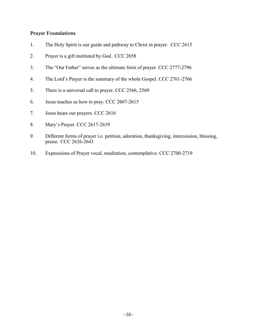## **Prayer Foundations**

- 1. The Holy Spirit is our guide and pathway to Christ in prayer. CCC 2615
- 2. Prayer is a gift instituted by God. CCC 2658
- 3. The "Our Father" serves as the ultimate form of prayer. CCC 2777-2796
- 4. The Lord's Prayer is the summary of the whole Gospel. CCC 2761-2766
- 5. There is a universal call to prayer. CCC 2566, 2569
- 6. Jesus teaches us how to pray. CCC 2607-2615
- 7. Jesus hears our prayers. CCC 2616
- 8. Mary's Prayer. CCC 2617-2619
- 9. Different forms of prayer i.e. petition, adoration, thanksgiving, intercession, blessing, praise. CCC 2626-2643
- 10. Expressions of Prayer vocal, meditation, contemplative. CCC 2700-2719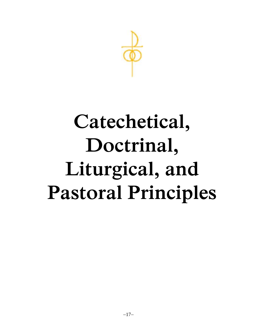

## **Catechetical, Doctrinal, Liturgical, and Pastoral Principles**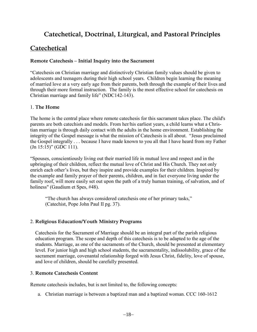## **Catechetical, Doctrinal, Liturgical, and Pastoral Principles**

## **Catechetical**

## **Remote Catechesis – Initial Inquiry into the Sacrament**

"Catechesis on Christian marriage and distinctively Christian family values should be given to adolescents and teenagers during their high school years. Children begin learning the meaning of married love at a very early age from their parents, both through the example of their lives and through their more formal instruction. The family is the most effective school for catechesis on Christian marriage and family life" (NDC142-143).

## 1. **The Home**

The home is the central place where remote catechesis for this sacrament takes place. The child's parents are both catechists and models. From her/his earliest years, a child learns what a Christian marriage is through daily contact with the adults in the home environment. Establishing the integrity of the Gospel message is what the mission of Catechesis is all about. "Jesus proclaimed the Gospel integrally . . . because I have made known to you all that I have heard from my Father (Jn 15:15)" (GDC 111).

"Spouses, conscientiously living out their married life in mutual love and respect and in the upbringing of their children, reflect the mutual love of Christ and His Church. They not only enrich each other's lives, but they inspire and provide examples for their children. Inspired by the example and family prayer of their parents, children, and in fact everyone living under the family roof, will more easily set out upon the path of a truly human training, of salvation, and of holiness" (Gaudium et Spes, #48).

"The church has always considered catechesis one of her primary tasks," (Catechist, Pope John Paul II pg. 37).

## 2. **Religious Education/Youth Ministry Programs**

Catechesis for the Sacrament of Marriage should be an integral part of the parish religious education program. The scope and depth of this catechesis is to be adapted to the age of the students. Marriage, as one of the sacraments of the Church, should be presented at elementary level. For junior high and high school students, the sacramentality, indissolubility, grace of the sacrament marriage, covenantal relationship forged with Jesus Christ, fidelity, love of spouse, and love of children, should be carefully presented.

## 3. **Remote Catechesis Content**

Remote catechesis includes, but is not limited to, the following concepts:

a. Christian marriage is between a baptized man and a baptized woman. CCC 160-1612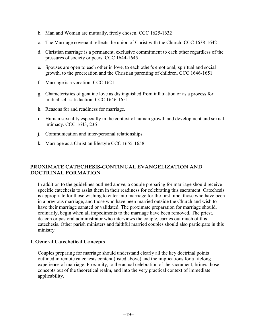- b. Man and Woman are mutually, freely chosen. CCC 1625-1632
- c. The Marriage covenant reflects the union of Christ with the Church. CCC 1638-1642
- d. Christian marriage is a permanent, exclusive commitment to each other regardless of the pressures of society or peers. CCC 1644-1645
- e. Spouses are open to each other in love, to each other's emotional, spiritual and social growth, to the procreation and the Christian parenting of children. CCC 1646-1651
- f. Marriage is a vocation. CCC 1621
- g. Characteristics of genuine love as distinguished from infatuation or as a process for mutual self-satisfaction. CCC 1646-1651
- h. Reasons for and readiness for marriage.
- i. Human sexuality especially in the context of human growth and development and sexual intimacy. CCC 1643, 2361
- j. Communication and inter-personal relationships.
- k. Marriage as a Christian lifestyle CCC 1655-1658

## **PROXIMATE CATECHESIS-CONTINUAL EVANGELIZATION AND DOCTRINAL FORMATION**

In addition to the guidelines outlined above, a couple preparing for marriage should receive specific catechesis to assist them in their readiness for celebrating this sacrament. Catechesis is appropriate for those wishing to enter into marriage for the first time, those who have been in a previous marriage, and those who have been married outside the Church and wish to have their marriage sanated or validated. The proximate preparation for marriage should, ordinarily, begin when all impediments to the marriage have been removed. The priest, deacon or pastoral administrator who interviews the couple, carries out much of this catechesis. Other parish ministers and faithful married couples should also participate in this ministry.

## 1. **General Catechetical Concepts**

Couples preparing for marriage should understand clearly all the key doctrinal points outlined in remote catechesis content (listed above) and the implications for a lifelong experience of marriage. Proximity, to the actual celebration of the sacrament, brings those concepts out of the theoretical realm, and into the very practical context of immediate applicability.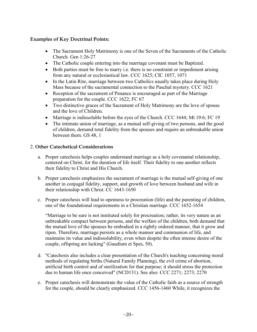## **Examples of Key Doctrinal Points:**

- The Sacrament Holy Matrimony is one of the Seven of the Sacraments of the Catholic Church. Gen 1:26-27
- The Catholic couple entering into the marriage covenant must be Baptized.
- Both parties must be free to marry i.e. there is no constraint or impediment arising from any natural or ecclesiastical law. CCC 1625; CIC 1057, 1071
- In the Latin Rite, marriage between two Catholics usually takes place during Holy Mass because of the sacramental connection to the Paschal mystery. CCC 1621
- Reception of the sacrament of Penance is encouraged as part of the Marriage preparation for the couple. CCC 1622; FC 67
- Two distinctive graces of the Sacrament of Holy Matrimony are the love of spouse and the love of Children.
- Marriage is indissoluble before the eyes of the Church. CCC 1644; Mt 19:6; FC 19
- The intimate union of marriage, as a mutual self-giving of two persons, and the good of children, demand total fidelity from the spouses and require an unbreakable union between them. GS 48, 1

## 2. **Other Catechetical Considerations**

- a. Proper catechesis helps couples understand marriage as a holy covenantal relationship, centered on Christ, for the duration of life itself. Their fidelity to one another reflects their fidelity to Christ and His Church.
- b. Proper catechesis emphasizes the sacrament of marriage is the mutual self-giving of one another in conjugal fidelity, support, and growth of love between husband and wife in their relationship with Christ. CC 1643-1650
- c. Proper catechesis will lead to openness to procreation (life) and the parenting of children, one of the foundational requirements in a Christian marriage. CCC 1652-1654

"Marriage to be sure is not instituted solely for procreation; rather, its very nature as an unbreakable compact between persons, and the welfare of the children, both demand that the mutual love of the spouses be embodied in a rightly ordered manner, that it grow and ripen. Therefore, marriage persists as a whole manner and communion of life, and maintains its value and indissolubility, even when despite the often intense desire of the couple, offspring are lacking" (Gaudium et Spes, 50).

- d. "Catechesis also includes a clear presentation of the Church's teaching concerning moral methods of regulating births (Natural Family Planning), the evil crime of abortion, artificial birth control and of sterilization for that purpose; it should stress the protection due to human life once conceived" (NCD131). See also: CCC 2271; 2273; 2270
- e. Proper catechesis will demonstrate the value of the Catholic faith as a source of strength for the couple, should be clearly emphasized. CCC 1456-1460 While, it recognizes the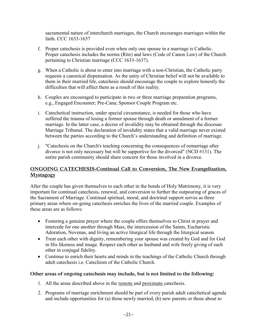sacramental nature of interchurch marriages, the Church encourages marriages within the faith. CCC 1633-1637

- f. Proper catechesis is provided even when only one spouse in a marriage is Catholic. Proper catechesis includes the norms (Rite) and laws (Code of Canon Law) of the Church pertaining to Christian marriage (CCC 1633-1637).
- g. When a Catholic is about to enter into marriage with a non-Christian, the Catholic party requests a canonical dispensation. As the unity of Christian belief will not be available to them in their married life, catechesis should encourage the couple to explore honestly the difficulties that will affect them as a result of this reality.
- h. Couples are encouraged to participate in two or three marriage preparation programs, e.g., Engaged Encounter; Pre-Cana; Sponsor Couple Program etc.
- i. Catechetical instruction, under special circumstance, is needed for those who have suffered the trauma of losing a former spouse through death or annulment of a former marriage. In the latter case, a decree of invalidity may be obtained through the diocesan Marriage Tribunal. The declaration of invalidity states that a valid marriage never existed between the parties according to the Church's understanding and definition of marriage.
- j. "Catechesis on the Church's teaching concerning the consequences of remarriage after divorce is not only necessary but will be supportive for the divorced" (NCD #131). The entire parish community should share concern for those involved in a divorce.

## **ONGOING CATECHESIS-Continual Call to Conversion, The New Evangelization, Mystagogy**

After the couple has given themselves to each other in the bonds of Holy Matrimony, it is very important for continual catechesis, renewal, and conversion to further the outpouring of graces of the Sacrament of Marriage. Continual spiritual, moral, and doctrinal support serves as three primary areas where on-going catechesis enriches the lives of the married couple. Examples of these areas are as follows:

- Fostering a genuine prayer where the couple offers themselves to Christ in prayer and intercede for one another through Mass, the intercession of the Saints, Eucharistic Adoration, Novenas, and living an active liturgical life through the liturgical season.
- Treat each other with dignity, remembering your spouse was created by God and for God in His likeness and image. Respect each other as husband and wife freely giving of each other in conjugal fidelity.
- Continue to enrich their hearts and minds in the teachings of the Catholic Church through adult catechesis i.e. Catechism of the Catholic Church.

## **Other areas of ongoing catechesis may include, but is not limited to the following:**

- 1. All the areas described above in the remote and proximate catechesis.
- 2. Programs of marriage enrichment should be part of every parish adult catechetical agenda and include opportunities for (a) those newly married, (b) new parents or those about to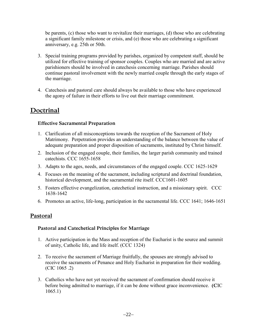be parents, (c) those who want to revitalize their marriages, (d) those who are celebrating a significant family milestone or crisis, and (e) those who are celebrating a significant anniversary, e.g. 25th or 50th.

- 3. Special training programs provided by parishes, organized by competent staff, should be utilized for effective training of sponsor couples. Couples who are married and are active parishioners should be involved in catechesis concerning marriage. Parishes should continue pastoral involvement with the newly married couple through the early stages of the marriage.
- 4. Catechesis and pastoral care should always be available to those who have experienced the agony of failure in their efforts to live out their marriage commitment.

## **Doctrinal**

## **Effective Sacramental Preparation**

- 1. Clarification of all misconceptions towards the reception of the Sacrament of Holy Matrimony. Perpetration provides an understanding of the balance between the value of adequate preparation and proper disposition of sacraments, instituted by Christ himself.
- 2. Inclusion of the engaged couple, their families, the larger parish community and trained catechists. CCC 1655-1658
- 3. Adapts to the ages, needs, and circumstances of the engaged couple. CCC 1625-1629
- 4. Focuses on the meaning of the sacrament, including scriptural and doctrinal foundation, historical development, and the sacramental rite itself. CCC1601-1605
- 5. Fosters effective evangelization, catechetical instruction, and a missionary spirit. CCC 1638-1642
- 6. Promotes an active, life-long, participation in the sacramental life. CCC 1641; 1646-1651

## **Pastoral**

## **Pastoral and Catechetical Principles for Marriage**

- 1. Active participation in the Mass and reception of the Eucharist is the source and summit of unity, Catholic life, and life itself. (CCC 1324)
- 2. To receive the sacrament of Marriage fruitfully, the spouses are strongly advised to receive the sacraments of Penance and Holy Eucharist in preparation for their wedding. (CIC 1065 .2)
- 3. Catholics who have not yet received the sacrament of confirmation should receive it before being admitted to marriage, if it can be done without grace inconvenience. **(C**IC 1065.1)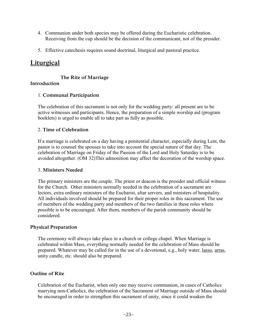- 4. Communion under both species may be offered during the Eucharistic celebration. Receiving from the cup should be the decision of the communicant, not of the presider.
- 5. Effective catechesis requires sound doctrinal, liturgical and pastoral practice.

## **Liturgical**

## **The Rite of Marriage**

## **Introduction**

## 1. **Communal Participation**

The celebration of this sacrament is not only for the wedding party: all present are to be active witnesses and participants. Hence, the preparation of a simple worship aid (program booklets) is urged to enable all to take part as fully as possible.

## 2. **Time of Celebration**

If a marriage is celebrated on a day having a penitential character, especially during Lent, the pastor is to counsel the spouses to take into account the special nature of that day. The celebration of Marriage on Friday of the Passion of the Lord and Holy Saturday is to be avoided altogether. (OM 32)This admonition may affect the decoration of the worship space.

## 3. **Ministers Needed**

The primary ministers are the couple. The priest or deacon is the presider and official witness for the Church. Other ministers normally needed in the celebration of a sacrament are lectors, extra ordinary ministers of the Eucharist, altar servers, and ministers of hospitality. All individuals involved should be prepared for their proper roles in this sacrament. The use of members of the wedding party and members of the two families in these roles where possible is to be encouraged. After them, members of the parish community should be considered.

## **Physical Preparation**

The ceremony will always take place in a church or college chapel. When Marriage is celebrated within Mass, everything normally needed for the celebration of Mass should be prepared. Whatever may be called for in the use of a devotional, e.g., holy water, lasso, arras, unity candle, etc. should also be prepared.

## **Outline of Rite**

Celebration of the Eucharist, when only one may receive communion, in cases of Catholics marrying non-Catholics, the celebration of the Sacrament of Marriage outside of Mass should be encouraged in order to strengthen this sacrament of unity, since it could weaken the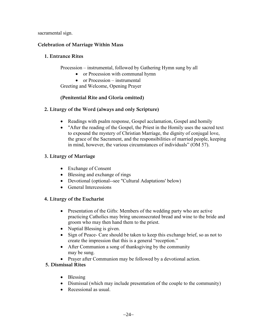sacramental sign.

## **Celebration of Marriage Within Mass**

## **1. Entrance Rites**

Procession – instrumental, followed by Gathering Hymn sung by all

- or Procession with communal hymn
- $\bullet$  or Procession instrumental

Greeting and Welcome, Opening Prayer

## **(Penitential Rite and Gloria omitted)**

## **2. Liturgy of the Word (always and only Scripture)**

- Readings with psalm response, Gospel acclamation, Gospel and homily
- "After the reading of the Gospel, the Priest in the Homily uses the sacred text to expound the mystery of Christian Marriage, the dignity of conjugal love, the grace of the Sacrament, and the responsibilities of married people, keeping in mind, however, the various circumstances of individuals" (OM 57).

## **3. Liturgy of Marriage**

- Exchange of Consent
- Blessing and exchange of rings
- Devotional (optional--see "Cultural Adaptations' below)
- General Intercessions

## **4. Liturgy of the Eucharist**

- Presentation of the Gifts: Members of the wedding party who are active practicing Catholics may bring unconsecrated bread and wine to the bride and groom who may then hand them to the priest.
- Nuptial Blessing is given.
- Sign of Peace- Care should be taken to keep this exchange brief, so as not to create the impression that this is a general "reception."
- After Communion a song of thanksgiving by the community may be sung.
- Prayer after Communion may be followed by a devotional action.

## **5. Dismissal Rites**

- Blessing
- Dismissal (which may include presentation of the couple to the community)
- Recessional as usual.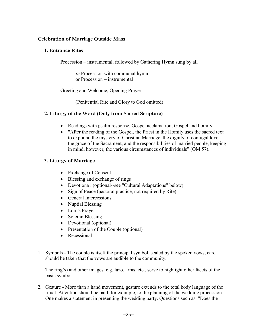## **Celebration of Marriage Outside Mass**

## **1. Entrance Rites**

Procession – instrumental, followed by Gathering Hymn sung by all

or Procession with communal hymn or Procession – instrumental

Greeting and Welcome, Opening Prayer

(Penitential Rite and Glory to God omitted)

## **2. Liturgy of the Word (Only from Sacred Scripture)**

- Readings with psalm response, Gospel acclamation, Gospel and homily
- "After the reading of the Gospel, the Priest in the Homily uses the sacred text to expound the mystery of Christian Marriage, the dignity of conjugal love, the grace of the Sacrament, and the responsibilities of married people, keeping in mind, however, the various circumstances of individuals" (OM 57).

## **3. Liturgy of Marriage**

- Exchange of Consent
- Blessing and exchange of rings
- Devotiona1 (optional--see "Cultural Adaptations" below)
- Sign of Peace (pastoral practice, not required by Rite)
- General Intercessions
- Nuptial Blessing
- Lord's Prayer
- Solemn Blessing
- Devotional (optional)
- Presentation of the Couple (optional)
- Recessional
- 1. Symbols The couple is itself the principal symbol, sealed by the spoken vows; care should be taken that the vows are audible to the community.

The ring(s) and other images, e.g. <u>lazo, arras</u>, etc., serve to highlight other facets of the basic symbol.

2. Gesture - More than a hand movement, gesture extends to the total body language of the ritual. Attention should be paid, for example, to the planning of the wedding procession. One makes a statement in presenting the wedding party. Questions such as, "Does the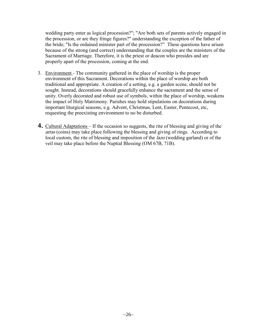wedding party enter as logical procession?"; "Are both sets of parents actively engaged in the procession, or are they fringe figures?" understanding the exception of the father of the bride; "Is the ordained minister part of the procession?" These questions have arisen because of the strong (and correct) understanding that the couples are the ministers of the Sacrament of Marriage. Therefore, it is the priest or deacon who presides and are properly apart of the procession, coming at the end.

- 3. Environment The community gathered in the place of worship is the proper environment of this Sacrament. Decorations within the place of worship are both traditional and appropriate. A creation of a setting, e.g. a garden scene, should not be sought. Instead, decorations should gracefully enhance the sacrament and the sense of unity. Overly decorated and robust use of symbols, within the place of worship, weakens the impact of Holy Matrimony. Parishes may hold stipulations on decorations during important liturgical seasons, e.g. Advent, Christmas, Lent, Easter, Pentecost, etc, requesting the preexisting environment to no be disturbed.
- **4.** Cultural Adaptations If the occasion so suggests, the rite of blessing and giving of the arras (coins) may take place following the blessing and giving of rings. According to local custom, the rite of blessing and imposition of the *lazo* (wedding garland) or of the veil may take place before the Nuptial Blessing (OM 67B, 71B).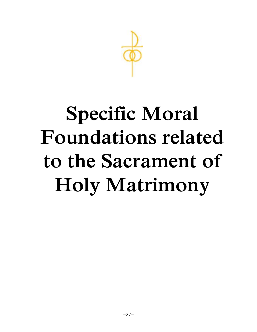## **Specific Moral Foundations related to the Sacrament of Holy Matrimony**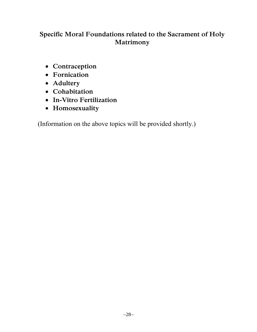## **Specific Moral Foundations related to the Sacrament of Holy Matrimony**

- **Contraception**
- **Fornication**
- **Adultery**
- **Cohabitation**
- **In-Vitro Fertilization**
- **Homosexuality**

(Information on the above topics will be provided shortly.)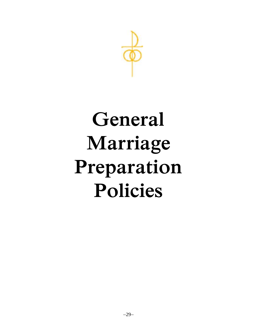

## **General Marriage Preparation Policies**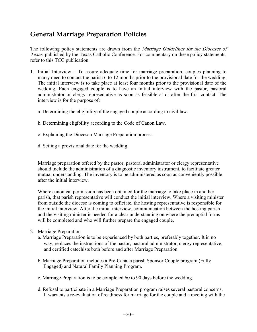## **General Marriage Preparation Policies**

The following policy statements are drawn from the *Marriage Guidelines for the Dioceses of* Texas, published by the Texas Catholic Conference. For commentary on these policy statements, refer to this TCC publication.

- 1. Initial Interview To assure adequate time for marriage preparation, couples planning to marry need to contact the parish 6 to 12 months prior to the provisional date for the wedding. The initial interview is to take place at least four months prior to the provisional date of the wedding. Each engaged couple is to have an initial interview with the pastor, pastoral administrator or clergy representative as soon as feasible at or after the first contact. The interview is for the purpose of:
	- a. Determining the eligibility of the engaged couple according to civil law.
	- b. Determining eligibility according to the Code of Canon Law.
	- c. Explaining the Diocesan Marriage Preparation process.
	- d. Setting a provisional date for the wedding.

Marriage preparation offered by the pastor, pastoral administrator or clergy representative should include the administration of a diagnostic inventory instrument, to facilitate greater mutual understanding. The inventory is to be administered as soon as conveniently possible after the initial interview.

Where canonical permission has been obtained for the marriage to take place in another parish, that parish representative will conduct the initial interview. Where a visiting minister from outside the diocese is coming to officiate, the hosting representative is responsible for the initial interview. After the initial interview, communication between the hosting parish and the visiting minister is needed for a clear understanding on where the prenuptial forms will be completed and who will further prepare the engaged couple.

- 2. Marriage Preparation
	- a. Marriage Preparation is to be experienced by both parties, preferably together. It in no way, replaces the instructions of the pastor, pastoral administrator, clergy representative, and certified catechists both before and after Marriage Preparation.
	- b. Marriage Preparation includes a Pre-Cana, a parish Sponsor Couple program (Fully Engaged) and Natural Family Planning Program.
	- c. Marriage Preparation is to be completed 60 to 90 days before the wedding.
	- d. Refusal to participate in a Marriage Preparation program raises several pastoral concerns. It warrants a re-evaluation of readiness for marriage for the couple and a meeting with the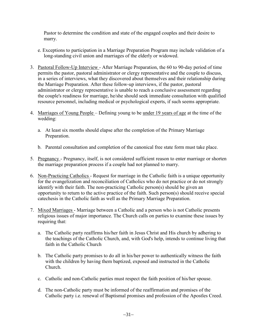Pastor to determine the condition and state of the engaged couples and their desire to marry.

- e. Exceptions to participation in a Marriage Preparation Program may include validation of a long-standing civil union and marriages of the elderly or widowed.
- 3. Pastoral Follow-Up Interview After Marriage Preparation, the 60 to 90-day period of time permits the pastor, pastoral administrator or clergy representative and the couple to discuss, in a series of interviews, what they discovered about themselves and their relationship during the Marriage Preparation. After these follow-up interviews, if the pastor, pastoral administrator or clergy representative is unable to reach a conclusive assessment regarding the couple's readiness for marriage, he/she should seek immediate consultation with qualified resource personnel, including medical or psychological experts, if such seems appropriate.
- 4. Marriages of Young People Defining young to be under 19 years of age at the time of the wedding:
	- a. At least six months should elapse after the completion of the Primary Marriage Preparation.
	- b. Parental consultation and completion of the canonical free state form must take place.
- 5. Pregnancy Pregnancy, itself, is not considered sufficient reason to enter marriage or shorten the marriage preparation process if a couple had not planned to marry.
- 6. Non-Practicing Catholics Request for marriage in the Catholic faith is a unique opportunity for the evangelization and reconciliation of Catholics who do not practice or do not strongly identify with their faith. The non-practicing Catholic person(s) should be given an opportunity to return to the active practice of the faith. Such person(s) should receive special catechesis in the Catholic faith as well as the Primary Marriage Preparation.
- 7. Mixed Marriages Marriage between a Catholic and a person who is not Catholic presents religious issues of major importance. The Church calls on parties to examine these issues by requiring that:
	- a. The Catholic party reaffirms his/her faith in Jesus Christ and His church by adhering to the teachings of the Catholic Church, and, with God's help, intends to continue living that faith in the Catholic Church
	- b. The Catholic party promises to do all in his/her power to authentically witness the faith with the children by having them baptized, exposed and instructed in the Catholic Church.
	- c. Catholic and non-Catholic parties must respect the faith position of his/her spouse.
	- d. The non-Catholic party must be informed of the reaffirmation and promises of the Catholic party i.e. renewal of Baptismal promises and profession of the Apostles Creed.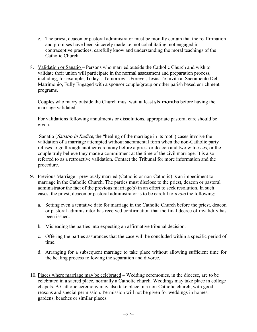- e. The priest, deacon or pastoral administrator must be morally certain that the reaffirmation and promises have been sincerely made i.e. not cohabitating, not engaged in contraceptive practices, carefully know and understanding the moral teachings of the Catholic Church.
- 8. Validation or Sanatio Persons who married outside the Catholic Church and wish to validate their union will participate in the normal assessment and preparation process, including, for example, Today…Tomorrow…Forever, Jesús Te Invita al Sacramento Del Matrimonio, Fully Engaged with a sponsor couple/group or other parish based enrichment programs.

Couples who marry outside the Church must wait at least **six months** before having the marriage validated.

For validations following annulments or dissolutions, appropriate pastoral care should be given.

Sanatio (Sanatio In Radice, the "healing of the marriage in its root"**)** cases involve the validation of a marriage attempted without sacramental form when the non-Catholic party refuses to go through another ceremony before a priest or deacon and two witnesses, or the couple truly believe they made a commitment at the time of the civil marriage. It is also referred to as a retroactive validation. Contact the Tribunal for more information and the procedure.

- 9. Previous Marriage previously married (Catholic or non-Catholic) is an impediment to marriage in the Catholic Church. The parties must disclose to the priest, deacon or pastoral administrator the fact of the previous marriage(s) in an effort to seek resolution. In such cases, the priest, deacon or pastoral administrator is to be careful to *avoid* the following:
	- a. Setting even a tentative date for marriage in the Catholic Church before the priest, deacon or pastoral administrator has received confirmation that the final decree of invalidity has been issued.
	- b. Misleading the parties into expecting an affirmative tribunal decision.
	- c. Offering the parties assurances that the case will be concluded within a specific period of time.
	- d. Arranging for a subsequent marriage to take place without allowing sufficient time for the healing process following the separation and divorce.
- 10. Places where marriage may be celebrated Wedding ceremonies, in the diocese, are to be celebrated in a sacred place, normally a Catholic church. Weddings may take place in college chapels. A Catholic ceremony may also take place in a non-Catholic church, with good reasons and special permission. Permission will not be given for weddings in homes, gardens, beaches or similar places.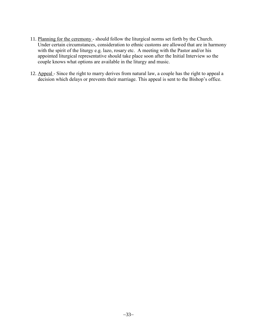- 11. Planning for the ceremony should follow the liturgical norms set forth by the Church. Under certain circumstances, consideration to ethnic customs are allowed that are in harmony with the spirit of the liturgy e.g. lazo, rosary etc. A meeting with the Pastor and/or his appointed liturgical representative should take place soon after the Initial Interview so the couple knows what options are available in the liturgy and music.
- 12. Appeal Since the right to marry derives from natural law, a couple has the right to appeal a decision which delays or prevents their marriage. This appeal is sent to the Bishop's office.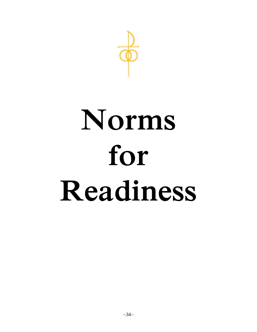

## **Norms for Readiness**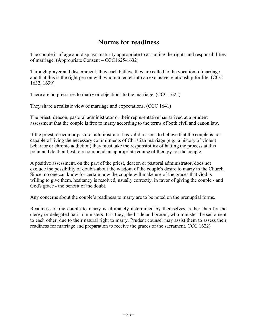## **Norms for readiness**

The couple is of age and displays maturity appropriate to assuming the rights and responsibilities of marriage. (Appropriate Consent – CCC1625-1632)

Through prayer and discernment, they each believe they are called to the vocation of marriage and that this is the right person with whom to enter into an exclusive relationship for life. (CCC 1632, 1639)

There are no pressures to marry or objections to the marriage. (CCC 1625)

They share a realistic view of marriage and expectations. (CCC 1641)

The priest, deacon, pastoral administrator or their representative has arrived at a prudent assessment that the couple is free to marry according to the terms of both civil and canon law.

If the priest, deacon or pastoral administrator has valid reasons to believe that the couple is not capable of living the necessary commitments of Christian marriage (e.g., a history of violent behavior or chronic addiction) they must take the responsibility of halting the process at this point and do their best to recommend an appropriate course of therapy for the couple.

A positive assessment, on the part of the priest, deacon or pastoral administrator, does not exclude the possibility of doubts about the wisdom of the couple's desire to marry in the Church. Since, no one can know for certain how the couple will make use of the graces that God is willing to give them, hesitancy is resolved, usually correctly, in favor of giving the couple - and God's grace - the benefit of the doubt.

Any concerns about the couple's readiness to marry are to be noted on the prenuptial forms.

Readiness of the couple to marry is ultimately determined by themselves, rather than by the clergy or delegated parish ministers. It is they, the bride and groom, who minister the sacrament to each other, due to their natural right to marry. Prudent counsel may assist them to assess their readiness for marriage and preparation to receive the graces of the sacrament. CCC 1622)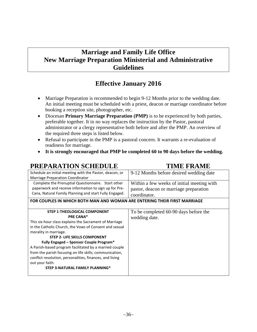## **Marriage and Family Life Office New Marriage Preparation Ministerial and Administrative Guidelines**

## **Effective January 2016**

- Marriage Preparation is recommended to begin 9-12 Months prior to the wedding date. An initial meeting must be scheduled with a priest, deacon or marriage coordinator before booking a reception site, photographer, etc.
- Diocesan **Primary Marriage Preparation (PMP)** is to be experienced by both parties, preferable together. It in no way replaces the instruction by the Pastor, pastoral administrator or a clergy representative both before and after the PMP. An overview of the required three steps is listed below.
- Refusal to participate in the PMP is a pastoral concern. It warrants a re-evaluation of readiness for marriage.
- **It is strongly encouraged that PMP be completed 60 to 90 days before the wedding.**

## **PREPARATION SCHEDULE TIME FRAME**

| Schedule an initial meeting with the Pastor, deacon, or<br><b>Marriage Preparation Coordinator</b>                                                                                                                                                                                                                                                                                                                                                                                                                      | 9-12 Months before desired wedding date                                                              |
|-------------------------------------------------------------------------------------------------------------------------------------------------------------------------------------------------------------------------------------------------------------------------------------------------------------------------------------------------------------------------------------------------------------------------------------------------------------------------------------------------------------------------|------------------------------------------------------------------------------------------------------|
| Complete the Prenuptial Questionnaire. Start other<br>paperwork and receive information to sign up for Pre-<br>Cana, Natural Family Planning and start Fully Engaged.<br>FOR COUPLES IN WHICH BOTH MAN AND WOMAN ARE ENTERING THEIR FIRST MARRIAGE                                                                                                                                                                                                                                                                      | Within a few weeks of initial meeting with<br>pastor, deacon or marriage preparation<br>coordinator. |
| STEP 1-THEOLOGICAL COMPONENT<br><b>PRE CANA*</b><br>This six-hour class explains the Sacrament of Marriage<br>in the Catholic Church, the Vows of Consent and sexual<br>morality in marriage.<br><b>STEP 2- LIFE SKILLS COMPONENT</b><br>Fully Engaged – Sponsor Couple Program*<br>A Parish-based program facilitated by a married couple<br>from the parish focusing on life skills; communication,<br>conflict resolution, personalities, finances, and living<br>out your faith.<br>STEP 3-NATURAL FAMILY PLANNING* | To be completed 60-90 days before the<br>wedding date.                                               |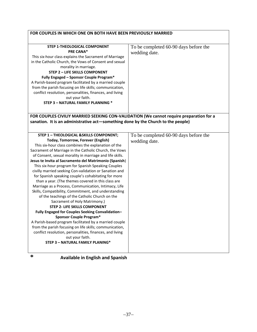| FOR COUPLES IN WHICH ONE ON BOTH HAVE BEEN PREVIOUSLY MARRIED                                                                                                                                                                                                                                                                                                                                                                                                                                                               |                                                        |  |  |  |
|-----------------------------------------------------------------------------------------------------------------------------------------------------------------------------------------------------------------------------------------------------------------------------------------------------------------------------------------------------------------------------------------------------------------------------------------------------------------------------------------------------------------------------|--------------------------------------------------------|--|--|--|
|                                                                                                                                                                                                                                                                                                                                                                                                                                                                                                                             |                                                        |  |  |  |
| STEP 1-THEOLOGICAL COMPONENT<br><b>PRE CANA*</b><br>This six-hour class explains the Sacrament of Marriage<br>in the Catholic Church, the Vows of Consent and sexual<br>morality in marriage.<br><b>STEP 2 - LIFE SKILLS COMPONENT</b><br>Fully Engaged - Sponsor Couple Program*<br>A Parish-based program facilitated by a married couple<br>from the parish focusing on life skills; communication,<br>conflict resolution, personalities, finances, and living<br>out your faith.<br>STEP 3 - NATURAL FAMILY PLANNING * | To be completed 60-90 days before the<br>wedding date. |  |  |  |
| FOR COUPLES CIVILIY MARRIED SEEKING CON-VALIDATION (We cannot require preparation for a<br>sanation. It is an administrative act-something done by the Church to the people)                                                                                                                                                                                                                                                                                                                                                |                                                        |  |  |  |
| STEP 1 - THEOLOGICAL & SKILLS COMPONENT;<br>Today, Tomorrow, Forever (English)                                                                                                                                                                                                                                                                                                                                                                                                                                              | To be completed 60-90 days before the                  |  |  |  |
| This six-hour class combines the explanation of the                                                                                                                                                                                                                                                                                                                                                                                                                                                                         | wedding date.                                          |  |  |  |
| Sacrament of Marriage in the Catholic Church, the Vows                                                                                                                                                                                                                                                                                                                                                                                                                                                                      |                                                        |  |  |  |
| of Consent, sexual morality in marriage and life skills.                                                                                                                                                                                                                                                                                                                                                                                                                                                                    |                                                        |  |  |  |
| Jesus te Invita al Sacramento del Matrimonio (Spanish)                                                                                                                                                                                                                                                                                                                                                                                                                                                                      |                                                        |  |  |  |
| This six-hour program for Spanish Speaking Couples                                                                                                                                                                                                                                                                                                                                                                                                                                                                          |                                                        |  |  |  |
| civilly married seeking Con-validation or Sanation and                                                                                                                                                                                                                                                                                                                                                                                                                                                                      |                                                        |  |  |  |
| for Spanish speaking couple's cohabitating for more                                                                                                                                                                                                                                                                                                                                                                                                                                                                         |                                                        |  |  |  |
| than a year. (The themes covered in this class are                                                                                                                                                                                                                                                                                                                                                                                                                                                                          |                                                        |  |  |  |
| Marriage as a Process, Communication, Intimacy, Life                                                                                                                                                                                                                                                                                                                                                                                                                                                                        |                                                        |  |  |  |
| Skills, Compatibility, Commitment, and understanding                                                                                                                                                                                                                                                                                                                                                                                                                                                                        |                                                        |  |  |  |
| of the teachings of the Catholic Church on the                                                                                                                                                                                                                                                                                                                                                                                                                                                                              |                                                        |  |  |  |
| Sacrament of Holy Matrimony.)                                                                                                                                                                                                                                                                                                                                                                                                                                                                                               |                                                        |  |  |  |
| STEP 2- LIFE SKILLS COMPONENT                                                                                                                                                                                                                                                                                                                                                                                                                                                                                               |                                                        |  |  |  |
| Fully Engaged for Couples Seeking Convalidation-                                                                                                                                                                                                                                                                                                                                                                                                                                                                            |                                                        |  |  |  |
| <b>Sponsor Couple Program*</b>                                                                                                                                                                                                                                                                                                                                                                                                                                                                                              |                                                        |  |  |  |
| A Parish-based program facilitated by a married couple                                                                                                                                                                                                                                                                                                                                                                                                                                                                      |                                                        |  |  |  |
| from the parish focusing on life skills; communication,                                                                                                                                                                                                                                                                                                                                                                                                                                                                     |                                                        |  |  |  |
| conflict resolution, personalities, finances, and living                                                                                                                                                                                                                                                                                                                                                                                                                                                                    |                                                        |  |  |  |
| out your faith.<br><b>STEP 3 - NATURAL FAMILY PLANING*</b>                                                                                                                                                                                                                                                                                                                                                                                                                                                                  |                                                        |  |  |  |
|                                                                                                                                                                                                                                                                                                                                                                                                                                                                                                                             |                                                        |  |  |  |
|                                                                                                                                                                                                                                                                                                                                                                                                                                                                                                                             |                                                        |  |  |  |

## **\* Available in English and Spanish**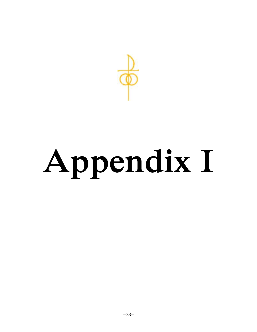$\mathbf{\Phi}$ 

# **Appendix I**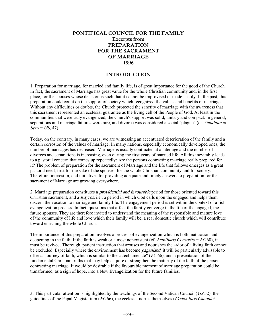## **PONTIFICAL COUNCIL FOR THE FAMILY Excerpts from PREPARATION FOR THE SACRAMENT OF MARRIAGE 1996**

## **INTRODUCTION**

1. Preparation for marriage, for married and family life, is of great importance for the good of the Church. In fact, the sacrament of Marriage has great value for the whole Christian community and, in the first place, for the spouses whose decision is such that it cannot be improvised or made hastily. In the past, this preparation could count on the support of society which recognized the values and benefits of marriage. Without any difficulties or doubts, the Church protected the sanctity of marriage with the awareness that this sacrament represented an ecclesial guarantee as the living cell of the People of God. At least in the communities that were truly evangelized, the Church's support was solid, unitary and compact. In general, separations and marriage failures were rare, and divorce was considered a social "plague" (cf. *Gaudium et*  $Spes = GS, 47$ ).

Today, on the contrary, in many cases, we are witnessing an accentuated deterioration of the family and a certain corrosion of the values of marriage. In many nations, especially economically developed ones, the number of marriages has decreased. Marriage is usually contracted at a later age and the number of divorces and separations is increasing, even during the first years of married life. All this inevitably leads to a pastoral concern that comes up repeatedly: Are the persons contracting marriage really prepared for it? The problem of preparation for the sacrament of Marriage and the life that follows emerges as a great pastoral need, first for the sake of the spouses, for the whole Christian community and for society. Therefore, interest in, and initiatives for providing adequate and timely answers to preparation for the sacrament of Marriage are growing everywhere.

2. Marriage preparation constitutes a providential and favourable period for those oriented toward this Christian sacrament, and a Kayrós, i.e., a period in which God calls upon the engaged and helps them discern the vocation to marriage and family life. The engagement period is set within the context of a rich evangelization process. In fact, questions that affect the family converge in the life of the engaged, the future spouses. They are therefore invited to understand the meaning of the responsible and mature love of the community of life and love which their family will be, a real domestic church which will contribute toward enriching the whole Church.

The importance of this preparation involves a process of evangelization which is both maturation and deepening in the faith. If the faith is weak or almost nonexistent (cf. Familiaris Consortio =  $FC68$ ), it must be revived. Thorough, patient instruction that arouses and nourishes the ardor of a living faith cannot be excluded. Especially where the environment has become *paganized*, it will be particularly advisable to offer a "journey of faith, which is similar to the catechumenate" ( $FC 66$ ), and a presentation of the fundamental Christian truths that may help acquire or strengthen the maturity of the faith of the persons contracting marriage. It would be desirable if the favourable moment of marriage preparation could be transformed, as a sign of hope, into a New Evangelization for the future families.

3. This particular attention is highlighted by the teachings of the Second Vatican Council (GS 52), the guidelines of the Papal Magisterium ( $FC 66$ ), the ecclesial norms themselves (*Codex Iuris Canonici* =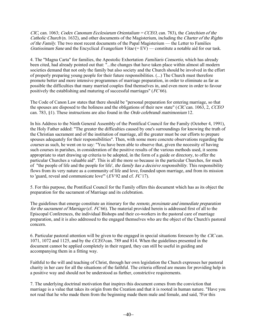CIC, can. 1063; Codex Canonum Ecclesiarum Orientalium = CCEO, can. 783), the Catechism of the Catholic Church (n. 1632), and other documents of the Magisterium, including the Charter of the Rights of the Family. The two most recent documents of the Papal Magisterium — the Letter to Families Gratissimam Sane and the Encyclical Evangelium Vitae  $(=EV)$  — constitute a notable aid for our task.

4. The "Magna Carta" for families, the Apostolic Exhortation *Familiaris Consortio*, which has already been cited, had already pointed out that: "...the changes that have taken place within almost all modern societies demand that not only the family but also society and the Church should be involved in the effort of properly preparing young people for their future responsibilities. (...) The Church must therefore promote better and more intensive programmes of marriage preparation, in order to eliminate as far as possible the difficulties that many married couples find themselves in, and even more in order to favour positively the establishing and maturing of successful marriages" (FC 66).

The Code of Canon Law states that there should be "personal preparation for entering marriage, so that the spouses are disposed to the holiness and the obligations of their new state" (CIC can. 1063, 2, CCEO can. 783, §1). These instructions are also found in the Ordo celebrandi matrimonium 12.

In his Address to the Ninth General Assembly of the Pontifical Council for the Family (October 4, 1991), the Holy Father added: "The greater the difficulties caused by one's surroundings for knowing the truth of the Christian sacrament and of the institution of marriage, all the greater must be our efforts to prepare spouses adequately for their responsibilities". Then, with some more concrete observations regarding the courses as such, he went on to say: "You have been able to observe that, given the necessity of having such courses in parishes, in consideration of the positive results of the various methods used, it seems appropriate to start drawing up criteria to be adopted, in the form of a guide or directory, to offer the particular Churches a valuable aid". This is all the more so because in the particular Churches, for much of "the people of life and the people for life', *the family has a decisive responsibility*. This responsibility flows from its very nature as a community of life and love, founded upon marriage, and from its mission to 'guard, reveal and communicate love'"  $(EV92$  and cf.  $FC17$ ).

5. For this purpose, the Pontifical Council for the Family offers this document which has as its object the preparation for the sacrament of Marriage and its celebration.

The guidelines that emerge constitute an itinerary for the *remote, proximate and immediate preparation* for the sacrament of Marriage (cf. FC 66). The material provided herein is addressed first of all to the Episcopal Conferences, the individual Bishops and their co-workers in the pastoral care of marriage preparation, and it is also addressed to the engaged themselves who are the object of the Church's pastoral concern.

6. Particular pastoral attention will be given to the engaged in special situations foreseen by the CIC can. 1071, 1072 and 1125, and by the CCEO can. 789 and 814. When the guidelines presented in the document cannot be applied completely in their regard, they can still be useful in guiding and accompanying them in a fitting way.

Faithful to the will and teaching of Christ, through her own legislation the Church expresses her pastoral charity in her care for all the situations of the faithful. The criteria offered are means for providing help in a positive way and should not be understood as further, constrictive requirements.

7. The underlying doctrinal motivation that inspires this document comes from the conviction that marriage is a value that takes its origin from the Creation and that it is rooted in human nature. "Have you not read that he who made them from the beginning made them male and female, and said, ?For this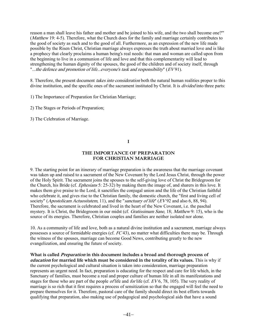reason a man shall leave his father and mother and be joined to his wife, and the two shall become one?'" (*Matthew* 19: 4-5). Therefore, what the Church does for the family and marriage certainly contributes to the good of society as such and to the good of all. Furthermore, as an expression of the new life made possible by the Risen Christ, Christian marriage always expresses the truth about married love and is like a prophecy that clearly proclaims a human being's real needs: that man and woman are called upon from the beginning to live in a communion of life and love and that this complementarity will lead to strengthening the human dignity of the spouses, the good of the children and of society itself, through "...the defence and promotion of life...everyone's task and responsibility" (EV91).

8. Therefore, the present document *takes into consideration* both the natural human realities proper to this divine institution, and the specific ones of the sacrament instituted by Christ. It is *divided* into three parts:

1) The Importance of Preparation for Christian Marriage;

2) The Stages or Periods of Preparation;

3) The Celebration of Marriage.

**I**

## **THE IMPORTANCE OF PREPARATION FOR CHRISTIAN MARRIAGE**

9. The starting point for an itinerary of marriage preparation is the awareness that the marriage covenant was taken up and raised to a sacrament of the New Covenant by the Lord Jesus Christ, through the power of the Holy Spirit. The sacrament joins the spouses to the self-giving love of Christ the Bridegroom for the Church, his Bride (cf. Ephesians 5: 25-32) by making them the image of, and sharers in this love. It makes them give praise to the Lord, it sanctifies the conjugal union and the life of the Christian faithful who celebrate it, and gives rise to the Christian family, the domestic church, the "first and living cell of society" (*Apostolicam Actuositatem*, 11), and the "*sanctuary of life*" (*EV* 92 and also 6, 88, 94). Therefore, the sacrament is celebrated and lived in the heart of the New Covenant, i.e. the paschal mystery. It is Christ, the Bridegroom in our midst (cf. Gratissimam Sane, 18; Matthew 9: 15), who is the source of its energies. Therefore, Christian couples and families are neither isolated nor alone.

10. As a community of life and love, both as a natural divine institution and a sacrament, marriage always possesses a source of formidable energies (cf. FC 43), no matter what difficulties there may be. Through the witness of the spouses, marriage can become Good News, contributing greatly to the new evangelization, and ensuring the future of society.

**What is called Preparation in this document includes a broad and thorough process of education for married life which must be considered in the totality of its values.** This is why if the current psychological and cultural situation is taken into consideration, marriage preparation represents an urgent need. In fact, preparation is educating for the respect and care for life which, in the Sanctuary of families, must become a real and proper culture of human life in all its manifestations and stages for those who are part of the people *of* life and *for* life (cf. EV6, 78, 105). The very reality of marriage is so rich that it first requires a process of sensitization so that the engaged will feel the need to prepare themselves for it. Therefore, pastoral care of the family should direct its best efforts towards qualifying that preparation, also making use of pedagogical and psychological aids that have a sound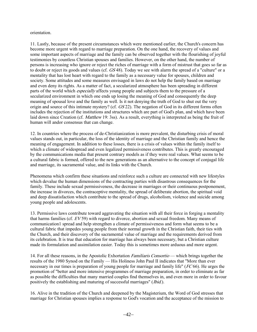orientation.

11. Lastly, because of the present circumstances which were mentioned earlier, the Church's concern has become more urgent with regard to marriage preparation. On the one hand, the recovery of values and some important aspects of marriage and the family can be observed together with the flourishing of joyful testimonies by countless Christian spouses and families. However, on the other hand, the number of persons is increasing who ignore or reject the riches of marriage with a form of mistrust that goes so far as to doubt or reject its goods and values (cf. GS 48). Today we see with alarm the spread of a "culture" or a mentality that has lost heart with regard to the family as a necessary value for spouses, children and society. Some attitudes and some measures envisaged in laws do not help the family based on marriage and even deny its rights. As a matter of fact, a secularized atmosphere has been spreading in different parts of the world which *especially* affects young people and subjects them to the pressure of a secularized environment in which one ends up losing the meaning of God and consequently the deep meaning of spousal love and the family as well. Is it not denying the truth of God to shut out the very origin and source of this intimate mystery? (cf. GS 22). The negation of God in its different forms often includes the rejection of the institutions and structures which are part of God's plan, and which have been laid down since Creation (cf. *Matthew* 19: 3ss). As a result, everything is interpreted as being the fruit of human will andor consensus that can change.

12. In countries where the process of de-Christianization is more prevalent, the disturbing crisis of moral values stands out, in particular, the loss of the identity of marriage and the Christian family and hence the meaning of engagement. In addition to these losses, there is a crisis of values within the family itself to which a climate of widespread and even legalized permissiveness contributes. This is greatly encouraged by the communications media that present contrary models as if they were real values. What seems to be a cultural fabric is formed, offered to the new generations as an alternative to the concept of conjugal life and marriage, its sacramental value, and its links with the Church.

Phenomena which confirm these situations and reinforce such a culture are connected with new lifestyles which devalue the human dimensions of the contracting parties with disastrous consequences for the family. These include sexual permissiveness, the decrease in marriages or their continuous postponement, the increase in divorces, the contraceptive mentality, the spread of deliberate abortion, the spiritual void and deep dissatisfaction which contribute to the spread of drugs, alcoholism, violence and suicide among young people and adolescents.

13. Permissive laws contribute toward aggravating the situation with all their force in forging a mentality that harms families (cf. EV 59) with regard to divorce, abortion and sexual freedom. Many means of communication1 spread and help strengthen a climate of permissiveness and form what seems to be a cultural fabric that impedes young people from their normal growth in the Christian faith, their ties with the Church, and their discovery of the sacramental value of marriage and the requirements derived from its celebration. It is true that education for marriage has always been necessary, but a Christian culture made its formulation and assimilation easier. Today this is sometimes more arduous and more urgent.

14. For all these reasons, in the Apostolic Exhortation Familiaris Consortio — which brings together the results of the 1980 Synod on the Family — His Holiness John Paul II indicates that "More than ever necessary in our times is preparation of young people for marriage and family life" (FC 66). He urges the promotion of "better and more intensive programmes of marriage preparation, in order to eliminate as far as possible the difficulties that many married couples find themselves in, and even more in order to favour positively the establishing and maturing of successful marriages" (Ibid.).

16. Alive in the tradition of the Church and deepened by the Magisterium, the Word of God stresses that marriage for Christian spouses implies a response to God's vocation and the acceptance of the mission to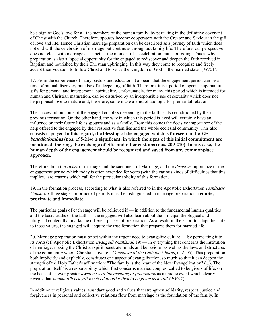be a sign of God's love for all the members of the human family, by partaking in the definitive covenant of Christ with the Church. Therefore, spouses become cooperators with the Creator and Saviour in the gift of love and life. Hence Christian marriage preparation can be described as a journey of faith which does not end with the celebration of marriage but continues throughout family life. Therefore, our perspective does not close with marriage as an act, at the moment of its celebration, but is on-going. This is why preparation is also a "special opportunity for the engaged to rediscover and deepen the faith received in Baptism and nourished by their Christian upbringing. In this way they come to recognize and freely accept their vocation to follow Christ and to serve the Kingdom of God in the married state" (FC 51).

17. From the experience of many pastors and educators it appears that the engagement period can be a time of mutual discovery but also of a deepening of faith. Therefore, it is a period of special supernatural gifts for personal and interpersonal spirituality. Unfortunately, for many, this period which is intended for human and Christian maturation, can be disturbed by an irresponsible use of sexuality which does not help spousal love to mature and, therefore, some make a kind of apologia for premarital relations.

The successful outcome of the engaged couple's deepening in the faith is also conditioned by their previous formation. On the other hand, the way in which this period is lived will certainly have an influence on their future life as spouses and as a family. From this comes the decisive importance of the help offered to the engaged by their respective families and the whole ecclesial community. This also consists in prayer. **In this regard, the blessing of the engaged which is foreseen in the De benedictionibus (nos. 195-214) is significant, in which the signs of this initial commitment are mentioned: the ring, the exchange of gifts and other customs (nos. 209-210). In any case, the human depth of the engagement should be recognized and saved from any commonplace approach.**

Therefore, both the *riches* of marriage and the sacrament of Marriage, and the *decisive* importance of the engagement period-which today is often extended for years (with the various kinds of difficulties that this implies), are reasons which call for the particular solidity of this formation.

19. In the formation process, according to what is also referred to in the Apostolic Exhortation Familiaris Consortio, three stages or principal periods must be distinguished in marriage preparation: **remote, proximate and immediate**.

The particular goals of each stage will be achieved if — in addition to the fundamental human qualities and the basic truths of the faith — the engaged will also learn about the principal theological and liturgical content that marks the different phases of preparation. As a result, in the effort to adapt their life to those values, the engaged will acquire the true formation that prepares them for married life.

20. Marriage preparation must be set within the urgent need to evangelize culture — by permeating it to its roots (cf. Apostolic Exhortation Evangelii Nuntiandi, 19) — in everything that concerns the institution of marriage: making the Christian spirit penetrate minds and behaviour, as well as the laws and structures of the community where Christians live (cf. *Catechism of the Catholic Church*, n. 2105). This preparation, both implicitly and explicitly, constitutes one aspect of evangelization, so much so that it can deepen the strength of the Holy Father's affirmation: "The family is the heart of the New Evangelization" (...). The preparation itself "is a responsibility which first concerns married couples, called to be givers of life, on the basis of an ever greater *awareness of the meaning of procreation* as a unique event which clearly reveals that human life is a gift received in order then to be given as a gift  $(EV92)$ .

In addition to religious values, abundant good and values that strengthen solidarity, respect, justice and forgiveness in personal and collective relations flow from marriage as the foundation of the family. In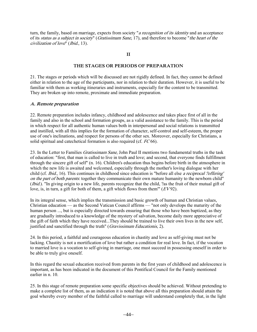turn, the family, based on marriage, expects from society "*a recognition of its identity* and an acceptance of its status as a subject in society" (Gratissimam Sane, 17), and therefore to become "the heart of the civilization of love" (Ibid., 13).

## **II**

## **THE STAGES OR PERIODS OF PREPARATION**

21. The stages or periods which will be discussed are not rigidly defined. In fact, they cannot be defined either in relation to the age of the participants, nor in relation to their duration. However, it is useful to be familiar with them as working itineraries and instruments, especially for the content to be transmitted. They are broken up into remote, proximate and immediate preparation.

## **A. Remote preparation**

22. Remote preparation includes infancy, childhood and adolescence and takes place first of all in the family and also in the school and formation groups, as a valid assistance to the family. This is the period in which respect for all authentic human values both in interpersonal and social relations is transmitted and instilled, with all this implies for the formation of character, self-control and self-esteem, the proper use of one's inclinations, and respect for persons of the other sex. Moreover, especially for Christians, a solid spiritual and catechetical formation is also required (cf. FC 66).

23. In the Letter to Families Gratissimam Sane, John Paul II mentions two fundamental truths in the task of education: "first, that man is called to live in truth and love; and second, that everyone finds fulfillment through the sincere gift of self" (n. 16). Children's education thus begins before birth in the atmosphere in which the new life is awaited and welcomed, especially through the mother's loving dialogue with her child (cf. *Ibid.*, 16). This continues in childhood since education is "before all else *a reciprocal ?offering'* on the part of both parents: together they communicate their own mature humanity to the newborn child" (*Ibid.*). "In giving origin to a new life, parents recognize that the child, ?as the fruit of their mutual gift of love, is, in turn, a gift for both of them, a gift which flows from them"  $(EV92)$ .

In its integral sense, which implies the transmission and basic growth of human and Christian values, Christian education — as the Second Vatican Council affirms — "not only develops the maturity of the human person ..., but is especially directed towards ensuring that those who have been baptized, as they are gradually introduced to a knowledge of the mystery of salvation, become daily more appreciative of the gift of faith which they have received...They should be trained to live their own lives in the new self, justified and sanctified through the truth" (Gravissimum Educationis, 2).

24. In this period, a faithful and courageous education in chastity and love as self-giving must not be lacking. Chastity is not a mortification of love but rather a condition for real love. In fact, if the vocation to married love is a vocation to self-giving in marriage, one must succeed in possessing oneself in order to be able to truly give oneself.

In this regard the sexual education received from parents in the first years of childhood and adolescence is important, as has been indicated in the document of this Pontifical Council for the Family mentioned earlier in n. 10.

25. In this stage of remote preparation some specific objectives should be achieved. Without pretending to make a complete list of them, as an indication it is noted that above all this preparation should attain the goal whereby every member of the faithful called to marriage will understand completely that, in the light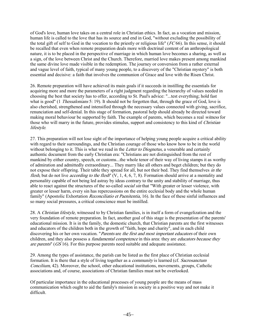of God's love, human love takes on a central role in Christian ethics. In fact, as a vocation and mission, human life is called to the love that has its source and end in God, "without excluding the possibility of the total gift of self to God in the vocation to the priestly or religious life" (FC 66). In this sense, it should be recalled that even when remote preparation deals more with doctrinal content of an anthropological nature, it is to be placed in the perspective of marriage in which human love becomes a sharing, as well as a sign, of the love between Christ and the Church. Therefore, married love makes present among mankind the same divine love made visible in the redemption. The journey or conversion from a rather external and vague level of faith, typical of many young people, to a discovery of the "Christian mystery" is both essential and decisive: a faith that involves the communion of Grace and love with the Risen Christ.

26. Remote preparation will have achieved its main goals if it succeeds in instilling the essentials for acquiring more and more the parameters of a right judgment regarding the hierarchy of values needed in choosing the best that society has to offer, according to St. Paul's advice: "...test everything; hold fast what is good" (1 Thessalonians 5: 19). It should not be forgotten that, through the grace of God, love is also cherished, strengthened and intensified through the necessary values connected with giving, sacrifice, renunciation and self-denial. In this stage of formation, pastoral help should already be directed toward making moral behaviour be supported by faith. The example of parents, which becomes a real witness for those who will marry in the future, provides stimulus, support and consistency to this kind of Christian lifestyle.

27. This preparation will not lose sight of the importance of helping young people acquire a critical ability with regard to their surroundings, and the Christian courage of those who know how to be in the world without belonging to it. This is what we read in the *Letter to Diognetus*, a venerable and certainly authentic document from the early Christian era: "Christians are not distinguished from the rest of mankind by either country, speech, or customs...the whole tenor of their way of living stamps it as worthy of admiration and admittedly extraordinary... They marry like all others and beget children; but they do not expose their offspring. Their table they spread for all, but not their bed. They find themselves in the *flesh*, but do not live *according to the flesh*"  $(V, 1, 4, 6, 7, 8)$ . Formation should arrive at a mentality and personality capable of not being led astray by ideas contrary to the unity and stability of marriage, thus able to react against the structures of the so-called *social sin* that "With greater or lesser violence, with greater or lesser harm, every sin has repercussions on the entire ecclesial body and the whole human family" (Apostolic Exhortation *Reconciliatio et Paenitentia*, 16). In the face of these sinful influences and so many social pressures, a critical conscience must be instilled.

28. A Christian lifestyle, witnessed to by Christian families, is in itself a form of evangelization and the very foundation of remote preparation. In fact, another goal of this stage is the presentation of the parents' educational mission. It is in the family, the domestic church, that Christian parents are the first witnesses and educators of the children both in the growth of "faith, hope and charity", and in each child discovering his or her own vocation. "*Parents* are *the first and most important educators* of their own children, and they also possess a *fundamental competence* in this area: they are *educators because they* are parents" (GS 16). For this purpose parents need suitable and adequate assistance.

29. Among the types of assistance, the parish can be listed as the first place of Christian ecclesial formation. It is there that a style of living together as a community is learned (cf. Sacrosanctum Concilium, 42). Moreover, the school, other educational institutions, movements, groups, Catholic associations and, of course, associations of Christian families must not be overlooked.

Of particular importance in the educational processes of young people are the means of mass communication which ought to aid the family's mission in society in a positive way and not make it difficult.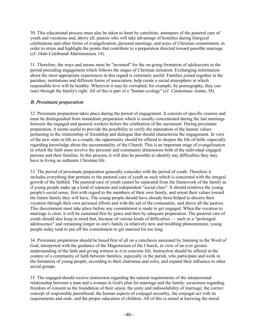30. This educational process must also be taken to heart by catechists, animators of the pastoral care of youth and vocations and, above all, pastors who will take advantage of homilies during liturgical celebrations and other forms of evangelization, personal meetings, and ways of Christian commitment, in order to stress and highlight the points that contribute to a preparation directed toward possible marriage (cf. Ordo Celebrandi Matrimonium, 14).

31. Therefore, the ways and means must be "invented" for the on-going formation of adolescents in the period preceding engagement which follows the stages of Christian initiation. Exchanging information about the most appropriate experiences in this regard is extremely useful. Families joined together in the parishes, institutions and different forms of association, help create a social atmosphere in which responsible love will be healthy. Wherever it may be corrupted, for example, by pornography, they can react through the family's right. All of this is part of a "human ecology" (cf. Centesimus Annus, 38).

## **B. Proximate preparation**

32. Proximate preparation takes place during the period of engagement. It consists of specific courses and must be distinguished from immediate preparation which is usually concentrated during the last meetings between the engaged and pastoral workers before the celebration of the sacrament. During proximate preparation, it seems useful to provide the possibility to verify the maturation of the human values pertaining to the relationship of friendship and dialogue that should characterize the engagement. In view of the new state in life as a couple, the opportunity should be offered to deepen the life of faith, especially regarding knowledge about the sacramentality of the Church. This is an important stage of evangelization in which the faith must involve the personal and community dimensions both of the individual engaged persons and their families. In this process, it will also be possible to identify any difficulties they may have in living an authentic Christian life.

33. The period of proximate preparation generally coincides with the period of youth. Therefore it includes everything that pertains to the pastoral care of youth as such which is concerned with the integral growth of the faithful. The pastoral care of youth cannot be separated from the framework of the family as if young people make up a kind of separate and independent "social class". It should reinforce the young people's social sense, first with regard to the members of their own family, and orient their values toward the future family they will have. The young people should have already been helped to discern their vocation through their own personal efforts and with the aid of the community, and above all the pastors. This discernment must take place before any commitment is made to get engaged. When the vocation to marriage is clear, it will be sustained first by grace and then by adequate preparation. The pastoral care of youth should also keep in mind that, because of various kinds of difficulties — such as a "prolonged adolescence" and remaining longer in one's family (a relatively new and troubling phenomenon), young people today tend to put off the commitment to get married for too long.

34. Proximate preparation should be based first of all on a catechesis sustained by listening to the Word of God, interpreted with the guidance of the Magisterium of the Church, in view of an ever greater understanding of the faith and giving witness to it in concrete life. Instruction should be offered in the context of a community of faith between families, especially in the parish, who participate and work in the formation of young people, according to their charismas and roles, and expand their influence to other social groups.

35. The engaged should receive instruction regarding the natural requirements of the interpersonal relationship between a man and a woman in God's plan for marriage and the family: awareness regarding freedom of consent as the foundation of their union, the unity and indissolubility of marriage, the correct concept of responsible parenthood, the human aspects of conjugal sexuality, the conjugal act with its requirements and ends, and the proper education of children. All of this is aimed at knowing the moral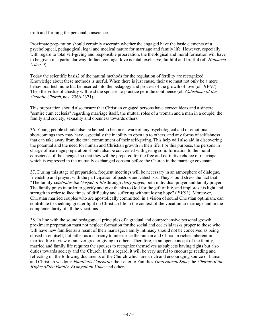truth and forming the personal conscience.

Proximate preparation should certainly ascertain whether the engaged have the basic elements of a psychological, pedagogical, legal and medical nature for marriage and family life. However, especially with regard to total self-giving and responsible procreation, the theological and moral formation will have to be given in a particular way. In fact, conjugal love is total, exclusive, faithful and fruitful (cf. *Humanae* Vitae, 9).

Today the scientific basis2 of the natural methods for the regulation of fertility are recognized. Knowledge about these methods is useful. When there is just cause, their use must not only be a mere behavioral technique but be inserted into the pedagogy and process of the growth of love (cf. EV97). Then the virtue of chastity will lead the spouses to practice periodic continence (cf. Catechism of the Catholic Church, nos. 2366-2371).

This preparation should also ensure that Christian engaged persons have correct ideas and a sincere "sentire cum ecclesia" regarding marriage itself, the mutual roles of a woman and a man in a couple, the family and society, sexuality and openness towards others.

36. Young people should also be helped to become aware of any psychological and or emotional shortcomings they may have, especially the inability to open up to others, and any forms of selfishness that can take away from the total commitment of their self-giving. This help will also aid in discovering the potential and the need for human and Christian growth in their life. For this purpose, the persons in charge of marriage preparation should also be concerned with giving solid formation to the moral conscience of the engaged so that they will be prepared for the free and definitive choice of marriage which is expressed in the mutually exchanged consent before the Church in the marriage covenant.

37. During this stage of preparation, frequent meetings will be necessary in an atmosphere of dialogue, friendship and prayer, with the participation of pastors and catechists. They should stress the fact that "The family *celebrates the Gospel of life* through *daily prayer*, both individual prayer and family prayer. The family prays in order to glorify and give thanks to God for the gift of life, and implores his light and strength in order to face times of difficulty and suffering without losing hope" (*EV*93). Moreover, Christian married couples who are apostolically committed, in a vision of sound Christian optimism, can contribute to shedding greater light on Christian life in the context of the vocation to marriage and in the complementarity of all the vocations.

38. In line with the sound pedagogical principles of a gradual and comprehensive personal growth, proximate preparation must not neglect formation for the social and ecclesial tasks proper to those who will have new families as a result of their marriage. Family intimacy should not be conceived as being closed in on itself, but rather as a capacity to interiorize the human and Christian riches inherent in married life in view of an ever greater giving to others. Therefore, in an open concept of the family, married and family life requires the spouses to recognize themselves as subjects having rights but also duties towards society and the Church. In this regard, it will be very useful to encourage reading and reflecting on the following documents of the Church which are a rich and encouraging source of human and Christian wisdom: Familiaris Consortio, the Letter to Families Gratissimam Sane, the Charter of the Rights of the Family, Evangelium Vitae, and others.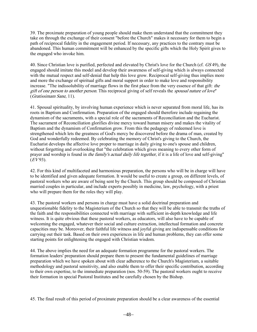39. The proximate preparation of young people should make them understand that the commitment they take on through the exchange of their consent "before the Church" makes it necessary for them to begin a path of reciprocal fidelity in the engagement period. If necessary, any practices to the contrary must be abandoned. This human commitment will be enhanced by the specific gifts which the Holy Spirit gives to the engaged who invoke him.

40. Since Christian love is purified, perfected and elevated by Christ's love for the Church (cf. GS 49), the engaged should imitate this model and develop their awareness of self-giving which is always connected with the mutual respect and self-denial that help this love grow. Reciprocal self-giving thus implies more and more the exchange of spiritual gifts and moral support in order to make love and responsibility increase. "The indissolubility of marriage flows in the first place from the very essence of that gift: the gift of one person to another person. This reciprocal giving of self reveals the *spousal nature of love*" (Gratissimam Sane, 11).

41. Spousal spirituality, by involving human experience which is never separated from moral life, has its roots in Baptism and Confirmation. Preparation of the engaged should therefore include regaining the dynamism of the sacraments, with a special role of the sacraments of Reconciliation and the Eucharist. The sacrament of Reconciliation glorifies divine mercy toward human misery and makes the vitality of Baptism and the dynamism of Confirmation grow. From this the pedagogy of redeemed love is strengthened which lets the greatness of God's mercy be discovered before the drama of man, created by God and wonderfully redeemed. By celebrating the memory of Christ's giving to the Church, the Eucharist develops the affective love proper to marriage in daily giving to one's spouse and children, without forgetting and overlooking that "the celebration which gives meaning to every other form of prayer and worship is found in the family's actual daily life together, if it is a life of love and self-giving"  $(EV 93)$ .

42. For this kind of multifaceted and harmonious preparation, the persons who will be in charge will have to be identified and given adequate formation. It would be useful to create a group, on different levels, of pastoral workers who are aware of being sent by the Church. This group should be composed of Christian married couples in particular, and include experts possibly in medicine, law, psychology, with a priest who will prepare them for the roles they will play.

43. The pastoral workers and persons in charge must have a solid doctrinal preparation and unquestionable fidelity to the Magisterium of the Church so that they will be able to transmit the truths of the faith and the responsibilities connected with marriage with sufficient in-depth knowledge and life witness. It is quite obvious that these pastoral workers, as educators, will also have to be capable of welcoming the engaged, whatever their social and culture extraction, intellectual formation and concrete capacities may be. Moreover, their faithful life witness and joyful giving are indispensable conditions for carrying out their task. Based on their own experiences in life and human problems, they can offer some starting points for enlightening the engaged with Christian wisdom.

44. The above implies the need for an adequate formation programme for the pastoral workers. The formation leaders' preparation should prepare them to present the fundamental guidelines of marriage preparation which we have spoken about with clear adherence to the Church's Magisterium, a suitable methodology and pastoral sensitivity, and also enable them to offer their specific contribution, according to their own expertise, to the immediate preparation (nos. 50-59). The pastoral workers ought to receive their formation in special Pastoral Institutes and be carefully chosen by the Bishop.

45. The final result of this period of proximate preparation should be a clear awareness of the essential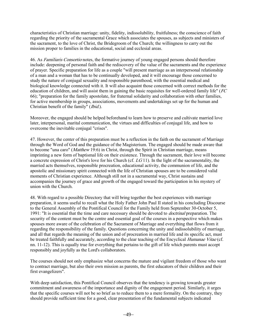characteristics of Christian marriage: unity, fidelity, indissolubility, fruitfulness; the conscience of faith regarding the priority of the sacramental Grace which associates the spouses, as subjects and ministers of the sacrament, to the love of Christ, the Bridegroom of the Church; the willingness to carry out the mission proper to families in the educational, social and ecclesial areas.

46. As Familiaris Consortio notes, the formative journey of young engaged persons should therefore include: deepening of personal faith and the rediscovery of the value of the sacraments and the experience of prayer. Specific preparation for life as a couple "will present marriage as an interpersonal relationship of a man and a woman that has to be continually developed, and it will encourage those concerned to study the nature of conjugal sexuality and responsible parenthood, with the essential medical and biological knowledge connected with it. It will also acquaint those concerned with correct methods for the education of children, and will assist them in gaining the basic requisites for well-ordered family life" ( $FC$ 66); "preparation for the family apostolate, for fraternal solidarity and collaboration with other families, for active membership in groups, associations, movements and undertakings set up for the human and Christian benefit of the family" (Ibid.).

Moreover, the engaged should be helped beforehand to learn how to preserve and cultivate married love later, interpersonal, marital communication, the virtues and difficulties of conjugal life, and how to overcome the inevitable conjugal "crises".

47. However, the center of this preparation must be a reflection in the faith on the sacrament of Marriage through the Word of God and the guidance of the Magisterium. The engaged should be made aware that to become "una caro" (Matthew 19:6) in Christ, through the Spirit in Christian marriage, means imprinting a new form of baptismal life on their existence. Through the sacrament, their love will become a concrete expression of Christ's love for his Church (cf.  $LG$  11). In the light of the sacramentality, the married acts themselves, responsible procreation, educational activity, the communion of life, and the apostolic and missionary spirit connected with the life of Christian spouses are to be considered valid moments of Christian experience. Although still not in a sacramental way, Christ sustains and accompanies the journey of grace and growth of the engaged toward the participation in his mystery of union with the Church.

48. With regard to a possible Directory that will bring together the best experiences with marriage preparation, it seems useful to recall what the Holy Father John Paul II stated in his concluding Discourse to the General Assembly of the Pontifical Council for the Family held from September 30-October 5, 1991: "It is essential that the time and care necessary should be devoted to doctrinal preparation. The security of the content must be the centre and essential goal of the courses in a perspective which makes spouses more aware of the celebration of the Sacrament of Marriage and everything that flows from it regarding the responsibility of the family. Questions concerning the unity and indissolubility of marriage, and all that regards the meaning of the union and of procreation in married life and its specific act, must be treated faithfully and accurately, according to the clear teaching of the Encyclical *Humanae Vitae* (cf. nn. 11-12). This is equally true for everything that pertains to the gift of life which parents must accept responsibly and joyfully as the Lord's collaborators.

The courses should not only emphasize what concerns the mature and vigilant freedom of those who want to contract marriage, but also their own mission as parents, the first educators of their children and their first evangelizers".

With deep satisfaction, this Pontifical Council observes that the tendency is growing towards greater commitment and awareness of the importance and dignity of the engagement period. Similarly, it urges that the specific courses will not be so brief as to reduce them to a mere formality. On the contrary, they should provide sufficient time for a good, clear presentation of the fundamental subjects indicated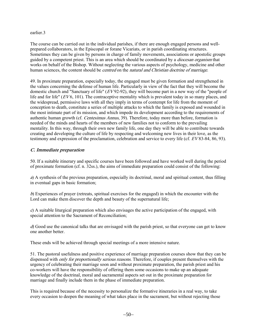## earlier.3

The course can be carried out in the individual parishes, if there are enough engaged persons and wellprepared collaborators, in the Episcopal or forane Vicariats, or in parish coordinating structures. Sometimes they can be given by persons in charge of family movements, associations or apostolic groups guided by a competent priest. This is an area which should be coordinated by a *diocesan organism* that works on behalf of the Bishop. Without neglecting the various aspects of psychology, medicine and other human sciences, the content should be *centred* on the *natural and Christian doctrine of marriage*.

49. In proximate preparation, especially today, the engaged must be given formation and strengthened in the values concerning the defense of human life. Particularly in view of the fact that they will become the domestic church and "Sanctuary of life" (EV 92-92), they will become part in a new way of the "people of life and for life" ( $EV6$ , 101). The contraceptive mentality which is prevalent today in so many places, and the widespread, permissive laws with all they imply in terms of contempt for life from the moment of conception to death, constitute a series of multiple attacks to which the family is exposed and wounded in the most intimate part of its mission, and which impede its development according to the requirements of authentic human growth (cf. Centesimus Annus, 39). Therefore, today more than before, formation is needed of the minds and hearts of the members of new families not to conform to the prevailing mentality. In this way, through their own new family life, one day they will be able to contribute towards creating and developing the culture of life by respecting and welcoming new lives in their love, as the testimony and expression of the proclamation, celebration and service to every life (cf. EV 83-84, 86, 93).

## **C. Immediate preparation**

50. If a suitable itinerary and specific courses have been followed and have worked well during the period of proximate formation (cf. n. 32ss.), the aims of immediate preparation could consist of the following:

<sup>a</sup>) A synthesis of the previous preparation, especially its doctrinal, moral and spiritual content, thus filling in eventual gaps in basic formation;

b) Experiences of prayer (retreats, spiritual exercises for the engaged) in which the encounter with the Lord can make them discover the depth and beauty of the supernatural life;

 $c$ ) A suitable liturgical preparation which also envisages the active participation of the engaged, with special attention to the Sacrament of Reconciliation;

 $d$ ) Good use the canonical talks that are envisaged with the parish priest, so that everyone can get to know one another better.

These ends will be achieved through special meetings of a more intensive nature.

51. The pastoral usefulness and positive experience of marriage preparation courses show that they can be dispensed with *only for proportionally serious reasons*. Therefore, if couples present themselves with the urgency of celebrating their marriage soon and without proximate preparation, the parish priest and his co-workers will have the responsibility of offering them some occasions to make up an adequate knowledge of the doctrinal, moral and sacramental aspects set out in the proximate preparation for marriage and finally include them in the phase of immediate preparation.

This is required because of the necessity to personalize the formative itineraries in a real way, to take every occasion to deepen the meaning of what takes place in the sacrament, but without rejecting those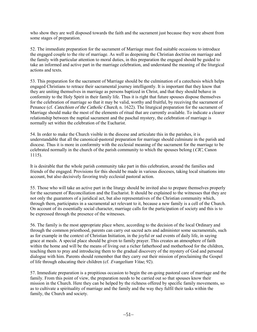who show they are well disposed towards the faith and the sacrament just because they were absent from some stages of preparation.

52. The immediate preparation for the sacrament of Marriage must find suitable occasions to introduce the engaged couple to the rite of marriage. As well as deepening the Christian doctrine on marriage and the family with particular attention to moral duties, in this preparation the engaged should be guided to take an informed and active part in the marriage celebration, and understand the meaning of the liturgical actions and texts.

53. This preparation for the sacrament of Marriage should be the culmination of a catechesis which helps engaged Christians to retrace their sacramental journey intelligently. It is important that they know that they are uniting themselves in marriage as persons baptized in Christ, and that they should behave in conformity to the Holy Spirit in their family life. Thus it is right that future spouses dispose themselves for the celebration of marriage so that it may be valid, worthy and fruitful, by receiving the sacrament of Penance (cf. *Catechism of the Catholic Church*, n. 1622). The liturgical preparation for the sacrament of Marriage should make the most of the elements of ritual that are currently available. To indicate a clearer relationship between the nuptial sacrament and the paschal mystery, the celebration of marriage is normally set within the celebration of the Eucharist.

54. In order to make the Church visible in the diocese and articulate this in the parishes, it is understandable that all the canonical-pastoral preparation for marriage should culminate in the parish and diocese. Thus it is more in conformity with the ecclesial meaning of the sacrament for the marriage to be celebrated normally in the church of the parish community to which the spouses belong (CIC, Canon 1115).

It is desirable that the whole parish community take part in this celebration, around the families and friends of the engaged. Provisions for this should be made in various dioceses, taking local situations into account, but also decisively favoring truly ecclesial pastoral action.

55. Those who will take an active part in the liturgy should be invited also to prepare themselves properly for the sacrament of Reconciliation and the Eucharist. It should be explained to the witnesses that they are not only the guarantors of a juridical act, but also representatives of the Christian community which, through them, participates in a sacramental act relevant to it, because a new family is a cell of the Church. On account of its essentially social character, marriage calls for the participation of society and this is to be expressed through the presence of the witnesses.

56. The family is the most appropriate place where, according to the decision of the local Ordinary and through the common priesthood, parents can carry out sacred acts and administer some sacramentals, such as for example in the context of Christian Initiation, in the joyful or sad events of daily life, in saying grace at meals. A special place should be given to family prayer. This creates an atmosphere of faith within the home and will be the means of living out a richer fatherhood and motherhood for the children, teaching them to pray and introducing them to the gradual discovery of the mystery of God and personal dialogue with him. Parents should remember that they carry out their mission of proclaiming the Gospel of life through educating their children (cf. Evangelium Vitae, 92).

57. Immediate preparation is a propitious occasion to begin the on-going pastoral care of marriage and the family. From this point of view, the preparation needs to be carried out so that spouses know their mission in the Church. Here they can be helped by the richness offered by specific family movements, so as to cultivate a spirituality of marriage and the family and the way they fulfil their tasks within the family, the Church and society.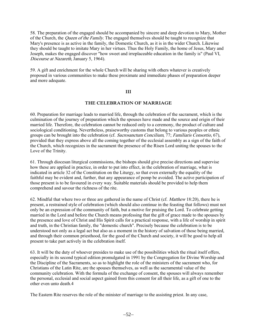58. The preparation of the engaged should be accompanied by sincere and deep devotion to Mary, Mother of the Church, the *Queen of the Family*. The engaged themselves should be taught to recognize that Mary's presence is as active in the family, the Domestic Church, as it is in the wider Church. Likewise they should be taught to imitate Mary in her virtues. Thus the Holy Family, the home of Jesus, Mary and Joseph, makes the engaged discover "how sweet and irreplaceable education in the family is" (Paul VI, Discourse at Nazareth, January 5, 1964).

59. A gift and enrichment for the whole Church will be sharing with others whatever is creatively proposed in various communities to make these proximate and immediate phases of preparation deeper and more adequate.

### **III**

### **THE CELEBRATION OF MARRIAGE**

60. Preparation for marriage leads to married life, through the celebration of the sacrament, which is the culmination of the journey of preparation which the spouses have made and the source and origin of their married life. Therefore, the celebration cannot be reduced only to a ceremony, the product of culture and sociological conditioning. Nevertheless, praiseworthy customs that belong to various peoples or ethnic groups can be brought into the celebration (cf. Sacrosanctum Concilium, 77; Familiaris Consortio, 67), provided that they express above all the coming together of the ecclesial assembly as a sign of the faith of the Church, which recognizes in the sacrament the presence of the Risen Lord uniting the spouses to the Love of the Trinity.

61. Through diocesan liturgical commissions, the bishops should give precise directions and supervise how these are applied in practice, in order to put into effect, in the celebration of marriage, what is indicated in article 32 of the Constitution on the Liturgy, so that even externally the equality of the faithful may be evident and, further, that any appearance of pomp be avoided. The active participation of those present is to be favoured in every way. Suitable materials should be provided to help them comprehend and savour the richness of the rite.

62. Mindful that where two or three are gathered in the name of Christ (cf. Matthew 18:20), there he is present, a restrained style of celebration (which should also continue in the feasting that follows) must not only be an expression of the community of faith, but a motive for praising the Lord. To celebrate getting married in the Lord and before the Church means professing that the gift of grace made to the spouses by the presence and love of Christ and His Spirit calls for a practical response, with a life of worship in spirit and truth, in the Christian family, the "domestic church". Precisely because the celebration is to be understood not only as a legal act but also as a moment in the history of salvation of those being married, and through their common priesthood, for the good of the Church and society, it will be good to help all present to take part actively in the celebration itself.

63. It will be the duty of whoever presides to make use of the possibilities which the ritual itself offers, especially in its second typical edition promulgated in 1991 by the Congregation for Divine Worship and the Discipline of the Sacraments, so as to highlight the role of the ministers of the sacrament who, for Christians of the Latin Rite, are the spouses themselves, as well as the sacramental value of the community celebration. With the formula of the exchange of consent, the spouses will always remember the personal, ecclesial and social aspect gained from this consent for all their life, as a gift of one to the other even unto death.4

The Eastern Rite reserves the role of the minister of marriage to the assisting priest. In any case,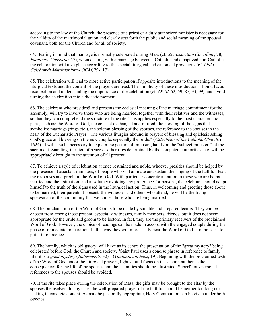according to the law of the Church, the presence of a priest or a duly authorized minister is necessary for the validity of the matrimonial union and clearly sets forth the public and social meaning of the spousal covenant, both for the Church and for all of society.

64. Bearing in mind that marriage is normally celebrated during Mass (cf. Sacrosanctum Concilium, 78; Familiaris Consortio, 57), when dealing with a marriage between a Catholic and a baptized non-Catholic, the celebration will take place according to the special liturgical and canonical provisions (cf. Ordo Celebrandi Matrimonium - OCM, 79-117).

65. The celebration will lead to more active participation if apposite introductions to the meaning of the liturgical texts and the content of the prayers are used. The simplicity of these introductions should favour recollection and understanding the importance of the celebration (cf. OCM, 52, 59, 87, 93, 99), and avoid turning the celebration into a didactic moment.

66. The celebrant who presides5 and presents the ecclesial meaning of the marriage commitment for the assembly, will try to involve those who are being married, together with their relatives and the witnesses, so that they can comprehend the structure of the rite. This applies especially to the most characteristic parts, such as: the Word of God, the consent exchanged and ratified, the blessing of the signs that symbolize marriage (rings etc.), the solemn blessing of the spouses, the reference to the spouses in the heart of the Eucharistic Prayer. "The various liturgies abound in prayers of blessing and epiclesis asking God's grace and blessing on the new couple, especially the bride." (Catechism of the Catholic Church, n. 1624). It will also be necessary to explain the gesture of imposing hands on the "subject ministers" of the sacrament. Standing, the sign of peace or other rites determined by the competent authorities, etc. will be appropriately brought to the attention of all present.

67. To achieve a style of celebration at once restrained and noble, whoever presides should be helped by the presence of assistant ministers, of people who will animate and sustain the singing of the faithful, lead the responses and proclaim the Word of God. With particular concrete attention to those who are being married and their situation, and absolutely avoiding any preference for persons, the celebrant should adapt himself to the truth of the signs used in the liturgical action. Thus, in welcoming and greeting those about to be married, their parents if present, the witnesses and others who attend, he will be the living spokesman of the community that welcomes those who are being married.

68. The proclamation of the Word of God is to be made by suitable and prepared lectors. They can be chosen from among those present, especially witnesses, family members, friends, but it does not seem appropriate for the bride and groom to be lectors. In fact, they are the primary receivers of the proclaimed Word of God. However, the choice of readings can be made in accord with the engaged couple during the phase of immediate preparation. In this way they will more easily bear the Word of God in mind so as to put it into practice.

69. The homily, which is obligatory, will have as its centre the presentation of the "great mystery" being celebrated before God, the Church and society. "Saint Paul uses a concise phrase in reference to family life: it is a great mystery (Ephesians 5: 32)". (Gratissimam Sane, 19). Beginning with the proclaimed texts of the Word of God andor the liturgical prayers, light should focus on the sacrament, hence the consequences for the life of the spouses and their families should be illustrated. Superfluous personal references to the spouses should be avoided.

70. If the rite takes place during the celebration of Mass, the gifts may be brought to the altar by the spouses themselves. In any case, the well-prepared prayer of the faithful should be neither too long nor lacking in concrete content. As may be pastorally appropriate, Holy Communion can be given under both Species.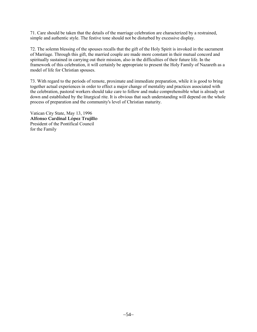71. Care should be taken that the details of the marriage celebration are characterized by a restrained, simple and authentic style. The festive tone should not be disturbed by excessive display.

72. The solemn blessing of the spouses recalls that the gift of the Holy Spirit is invoked in the sacrament of Marriage. Through this gift, the married couple are made more constant in their mutual concord and spiritually sustained in carrying out their mission, also in the difficulties of their future life. In the framework of this celebration, it will certainly be appropriate to present the Holy Family of Nazareth as a model of life for Christian spouses.

73. With regard to the periods of remote, proximate and immediate preparation, while it is good to bring together actual experiences in order to effect a major change of mentality and practices associated with the celebration, pastoral workers should take care to follow and make comprehensible what is already set down and established by the liturgical rite. It is obvious that such understanding will depend on the whole process of preparation and the community's level of Christian maturity.

Vatican City State, May 13, 1996 **Alfonso Cardinal López Trujillo**  President of the Pontifical Council for the Family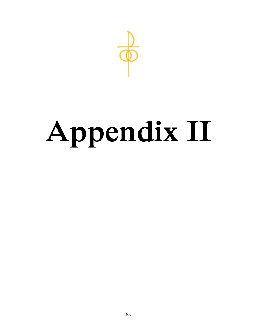

## **Appendix II**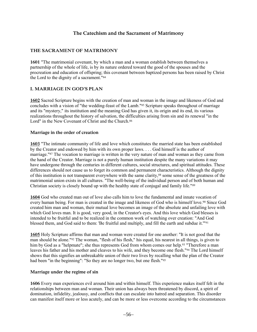## **The Catechism and the Sacrament of Matrimony**

## **THE SACRAMENT OF MATRIMONY**

**1601** "The matrimonial covenant, by which a man and a woman establish between themselves a partnership of the whole of life, is by its nature ordered toward the good of the spouses and the procreation and education of offspring; this covenant between baptized persons has been raised by Christ the Lord to the dignity of a sacrament."<sup>84</sup>

## **I. MARRIAGE IN GOD'S PLAN**

**[1602](javascript:openWindow()** Sacred Scripture begins with the creation of man and woman in the image and likeness of God and concludes with a vision of "the wedding-feast of the Lamb."<sup>85</sup> Scripture speaks throughout of marriage and its "mystery," its institution and the meaning God has given it, its origin and its end, its various realizations throughout the history of salvation, the difficulties arising from sin and its renewal "in the Lord" in the New Covenant of Christ and the Church.<sup>86</sup>

## **Marriage in the order of creation**

**[1603](javascript:openWindow()** "The intimate community of life and love which constitutes the married state has been established by the Creator and endowed by him with its own proper laws. . . . God himself is the author of marriage."<sup>87</sup> The vocation to marriage is written in the very nature of man and woman as they came from the hand of the Creator. Marriage is not a purely human institution despite the many variations it may have undergone through the centuries in different cultures, social structures, and spiritual attitudes. These differences should not cause us to forget its common and permanent characteristics. Although the dignity of this institution is not transparent everywhere with the same clarity,<sup>88</sup> some sense of the greatness of the matrimonial union exists in all cultures. "The well-being of the individual person and of both human and Christian society is closely bound up with the healthy state of conjugal and family life."<sup>89</sup>

**[1604](javascript:openWindow()** God who created man out of love also calls him to love the fundamental and innate vocation of every human being. For man is created in the image and likeness of God who is himself love.<sup>90</sup> Since God created him man and woman, their mutual love becomes an image of the absolute and unfailing love with which God loves man. It is good, very good, in the Creator's eyes. And this love which God blesses is intended to be fruitful and to be realized in the common work of watching over creation: "And God blessed them, and God said to them: 'Be fruitful and multiply, and fill the earth and subdue it.'"<sup>91</sup>

**[1605](javascript:openWindow()** Holy Scripture affirms that man and woman were created for one another: "It is not good that the man should be alone."<sup>92</sup> The woman, "flesh of his flesh," his equal, his nearest in all things, is given to him by God as a "helpmate"; she thus represents God from whom comes our help.<sup>93</sup> "Therefore a man leaves his father and his mother and cleaves to his wife, and they become one flesh."<sup>94</sup> The Lord himself shows that this signifies an unbreakable union of their two lives by recalling what the plan of the Creator had been "in the beginning": "So they are no longer two, but one flesh."<sup>95</sup>

## **Marriage under the regime of sin**

**1606** Every man experiences evil around him and within himself. This experience makes itself felt in the relationships between man and woman. Their union has always been threatened by discord, a spirit of domination, infidelity, jealousy, and conflicts that can escalate into hatred and separation. This disorder can manifest itself more or less acutely, and can be more or less overcome according to the circumstances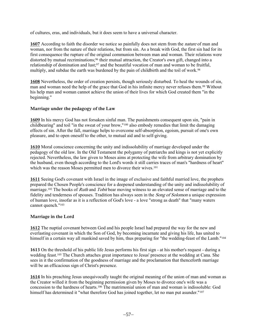of cultures, eras, and individuals, but it does seem to have a universal character.

**[1607](javascript:openWindow()** According to faith the disorder we notice so painfully does not stem from the nature of man and woman, nor from the nature of their relations, but from sin. As a break with God, the first sin had for its first consequence the rupture of the original communion between man and woman. Their relations were distorted by mutual recriminations;<sup>96</sup> their mutual attraction, the Creator's own gift, changed into a relationship of domination and lust;<sup>97</sup> and the beautiful vocation of man and woman to be fruitful, multiply, and subdue the earth was burdened by the pain of childbirth and the toil of work.<sup>98</sup>

**[1608](javascript:openWindow()** Nevertheless, the order of creation persists, though seriously disturbed. To heal the wounds of sin, man and woman need the help of the grace that God in his infinite mercy never refuses them.<sup>99</sup> Without his help man and woman cannot achieve the union of their lives for which God created them "in the beginning."

## **Marriage under the pedagogy of the Law**

**[1609](javascript:openWindow()** In his mercy God has not forsaken sinful man. The punishments consequent upon sin, "pain in childbearing" and toil "in the sweat of your brow,"<sup>100</sup> also embody remedies that limit the damaging effects of sin. After the fall, marriage helps to overcome self-absorption, egoism, pursuit of one's own pleasure, and to open oneself to the other, to mutual aid and to self-giving.

**[1610](javascript:openWindow()** Moral conscience concerning the unity and indissolubility of marriage developed under the pedagogy of the old law. In the Old Testament the polygamy of patriarchs and kings is not yet explicitly rejected. Nevertheless, the law given to Moses aims at protecting the wife from arbitrary domination by the husband, even though according to the Lord's words it still carries traces of man's "hardness of heart" which was the reason Moses permitted men to divorce their wives.<sup>101</sup>

**[1611](javascript:openWindow()** Seeing God's covenant with Israel in the image of exclusive and faithful married love, the prophets prepared the Chosen People's conscience for a deepened understanding of the unity and indissolubility of marriage.<sup>102</sup> The books of *Ruth* and *Tobit* bear moving witness to an elevated sense of marriage and to the fidelity and tenderness of spouses. Tradition has always seen in the Song of Solomon a unique expression of human love, insofar as it is a reflection of God's love - a love "strong as death" that "many waters cannot quench."<sup>103</sup>

## **Marriage in the Lord**

**[1612](javascript:openWindow()** The nuptial covenant between God and his people Israel had prepared the way for the new and everlasting covenant in which the Son of God, by becoming incarnate and giving his life, has united to himself in a certain way all mankind saved by him, thus preparing for "the wedding-feast of the Lamb."<sup>104</sup>

**1613** On the threshold of his public life Jesus performs his first sign - at his mother's request - during a wedding feast.<sup>105</sup> The Church attaches great importance to Jesus' presence at the wedding at Cana. She sees in it the confirmation of the goodness of marriage and the proclamation that thenceforth marriage will be an efficacious sign of Christ's presence.

**[1614](javascript:openWindow()** In his preaching Jesus unequivocally taught the original meaning of the union of man and woman as the Creator willed it from the beginning permission given by Moses to divorce one's wife was a concession to the hardness of hearts.<sup>106</sup> The matrimonial union of man and woman is indissoluble: God himself has determined it "what therefore God has joined together, let no man put asunder."<sup>107</sup>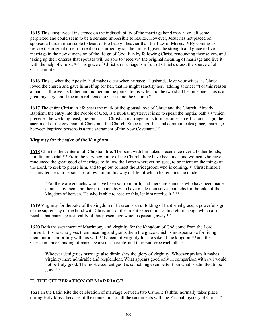**[1615](javascript:openWindow()** This unequivocal insistence on the indissolubility of the marriage bond may have left some perplexed and could seem to be a demand impossible to realize. However, Jesus has not placed on spouses a burden impossible to bear, or too heavy - heavier than the Law of Moses.<sup>108</sup> By coming to restore the original order of creation disturbed by sin, he himself gives the strength and grace to live marriage in the new dimension of the Reign of God. It is by following Christ, renouncing themselves, and taking up their crosses that spouses will be able to "receive" the original meaning of marriage and live it with the help of Christ.<sup>109</sup> This grace of Christian marriage is a fruit of Christ's cross, the source of all Christian life.

**1616** This is what the Apostle Paul makes clear when he says: "Husbands, love your wives, as Christ loved the church and gave himself up for her, that he might sanctify her," adding at once: "'For this reason a man shall leave his father and mother and be joined to his wife, and the two shall become one. This is a great mystery, and I mean in reference to Christ and the Church."<sup>110</sup>

**[1617](javascript:openWindow()** The entire Christian life bears the mark of the spousal love of Christ and the Church. Already Baptism, the entry into the People of God, is a nuptial mystery; it is so to speak the nuptial bath.<sup>111</sup> which precedes the wedding feast, the Eucharist. Christian marriage in its turn becomes an efficacious sign, the sacrament of the covenant of Christ and the Church. Since it signifies and communicates grace, marriage between baptized persons is a true sacrament of the New Covenant..<sup>112</sup>

## **Virginity for the sake of the Kingdom**

**[1618](javascript:openWindow()** Christ is the center of all Christian life. The bond with him takes precedence over all other bonds, familial or social.<sup>113</sup> From the very beginning of the Church there have been men and women who have renounced the great good of marriage to follow the Lamb wherever he goes, to be intent on the things of the Lord, to seek to please him, and to go out to meet the Bridegroom who is coming.<sup>114</sup> Christ himself has invited certain persons to follow him in this way of life, of which he remains the model:

"For there are eunuchs who have been so from birth, and there are eunuchs who have been made eunuchs by men, and there are eunuchs who have made themselves eunuchs for the sake of the kingdom of heaven. He who is able to receive this, let him receive it."<sup>115</sup>

**[1619](javascript:openWindow()** Virginity for the sake of the kingdom of heaven is an unfolding of baptismal grace, a powerful sign of the supremacy of the bond with Christ and of the ardent expectation of his return, a sign which also recalls that marriage is a reality of this present age which is passing away.<sup>116</sup>

**[1620](javascript:openWindow()** Both the sacrament of Matrimony and virginity for the Kingdom of God come from the Lord himself. It is he who gives them meaning and grants them the grace which is indispensable for living them out in conformity with his will.<sup>117</sup> Esteem of virginity for the sake of the kingdom<sup>118</sup> and the Christian understanding of marriage are inseparable, and they reinforce each other:

Whoever denigrates marriage also diminishes the glory of virginity. Whoever praises it makes virginity more admirable and resplendent. What appears good only in comparison with evil would not be truly good. The most excellent good is something even better than what is admitted to be good.<sup>119</sup>

## **II. THE CELEBRATION OF MARRIAGE**

**[1621](javascript:openWindow()** In the Latin Rite the celebration of marriage between two Catholic faithful normally takes place during Holy Mass, because of the connection of all the sacraments with the Paschal mystery of Christ.<sup>120</sup>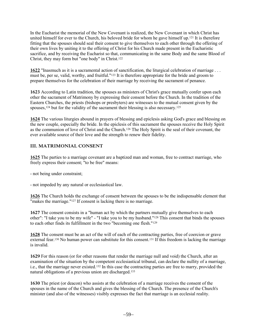In the Eucharist the memorial of the New Covenant is realized, the New Covenant in which Christ has united himself for ever to the Church, his beloved bride for whom he gave himself up.<sup>121</sup> It is therefore fitting that the spouses should seal their consent to give themselves to each other through the offering of their own lives by uniting it to the offering of Christ for his Church made present in the Eucharistic sacrifice, and by receiving the Eucharist so that, communicating in the same Body and the same Blood of Christ, they may form but "one body" in Christ.<sup>122</sup>

**[1622](javascript:openWindow()** "Inasmuch as it is a sacramental action of sanctification, the liturgical celebration of marriage . . . must be, per se, valid, worthy, and fruitful."<sup>123</sup> It is therefore appropriate for the bride and groom to prepare themselves for the celebration of their marriage by receiving the sacrament of penance.

**1623** According to Latin tradition, the spouses as ministers of Christ's grace mutually confer upon each other the sacrament of Matrimony by expressing their consent before the Church. In the tradition of the Eastern Churches, the priests (bishops or presbyters) are witnesses to the mutual consent given by the spouses,<sup>124</sup> but for the validity of the sacrament their blessing is also necessary.<sup>125</sup>

**[1624](javascript:openWindow()** The various liturgies abound in prayers of blessing and epiclesis asking God's grace and blessing on the new couple, especially the bride. In the epiclesis of this sacrament the spouses receive the Holy Spirit as the communion of love of Christ and the Church.<sup>126</sup> The Holy Spirit is the seal of their covenant, the ever available source of their love and the strength to renew their fidelity.

## **III. MATRIMONIAL CONSENT**

**[1625](javascript:openWindow()** The parties to a marriage covenant are a baptized man and woman, free to contract marriage, who freely express their consent; "to be free" means:

- not being under constraint;

- not impeded by any natural or ecclesiastical law.

**[1626](javascript:openWindow()** The Church holds the exchange of consent between the spouses to be the indispensable element that "makes the marriage."<sup>127</sup> If consent is lacking there is no marriage.

**1627** The consent consists in a "human act by which the partners mutually give themselves to each other": "I take you to be my wife" - "I take you to be my husband."<sup>128</sup> This consent that binds the spouses to each other finds its fulfillment in the two "becoming one flesh."<sup>129</sup>

**[1628](javascript:openWindow()** The consent must be an act of the will of each of the contracting parties, free of coercion or grave external fear.<sup>130</sup> No human power can substitute for this consent.<sup>131</sup> If this freedom is lacking the marriage is invalid.

**1629** For this reason (or for other reasons that render the marriage null and void) the Church, after an examination of the situation by the competent ecclesiastical tribunal, can declare the nullity of a marriage, i.e., that the marriage never existed.<sup>132</sup> In this case the contracting parties are free to marry, provided the natural obligations of a previous union are discharged.<sup>133</sup>

**1630** The priest (or deacon) who assists at the celebration of a marriage receives the consent of the spouses in the name of the Church and gives the blessing of the Church. The presence of the Church's minister (and also of the witnesses) visibly expresses the fact that marriage is an ecclesial reality.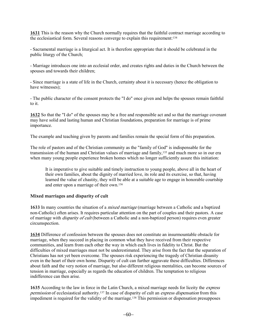**[1631](javascript:openWindow()** This is the reason why the Church normally requires that the faithful contract marriage according to the ecclesiastical form. Several reasons converge to explain this requirement:<sup>134</sup>

- Sacramental marriage is a liturgical act. It is therefore appropriate that it should be celebrated in the public liturgy of the Church;

- Marriage introduces one into an ecclesial order, and creates rights and duties in the Church between the spouses and towards their children;

- Since marriage is a state of life in the Church, certainty about it is necessary (hence the obligation to have witnesses);

- The public character of the consent protects the "I do" once given and helps the spouses remain faithful to it.

**[1632](javascript:openWindow()** So that the "I do" of the spouses may be a free and responsible act and so that the marriage covenant may have solid and lasting human and Christian foundations, preparation for marriage is of prime importance.

The example and teaching given by parents and families remain the special form of this preparation.

The role of pastors and of the Christian community as the "family of God" is indispensable for the transmission of the human and Christian values of marriage and family,<sup>135</sup> and much more so in our era when many young people experience broken homes which no longer sufficiently assure this initiation:

It is imperative to give suitable and timely instruction to young people, above all in the heart of their own families, about the dignity of married love, its role and its exercise, so that, having learned the value of chastity, they will be able at a suitable age to engage in honorable courtship and enter upon a marriage of their own.<sup>136</sup>

## **Mixed marriages and disparity of cult**

**1633** In many countries the situation of a mixed marriage (marriage between a Catholic and a baptized non-Catholic) often arises. It requires particular attention on the part of couples and their pastors. A case of marriage with *disparity of cult* (between a Catholic and a non-baptized person) requires even greater circumspection.

**[1634](javascript:openWindow()** Difference of confession between the spouses does not constitute an insurmountable obstacle for marriage, when they succeed in placing in common what they have received from their respective communities, and learn from each other the way in which each lives in fidelity to Christ. But the difficulties of mixed marriages must not be underestimated. They arise from the fact that the separation of Christians has not yet been overcome. The spouses risk experiencing the tragedy of Christian disunity even in the heart of their own home. Disparity of cult can further aggravate these difficulties. Differences about faith and the very notion of marriage, but also different religious mentalities, can become sources of tension in marriage, especially as regards the education of children. The temptation to religious indifference can then arise.

**1635** According to the law in force in the Latin Church, a mixed marriage needs for liceity the express permission of ecclesiastical authority.<sup>137</sup> In case of disparity of cult an express dispensation from this impediment is required for the validity of the marriage.<sup>138</sup> This permission or dispensation presupposes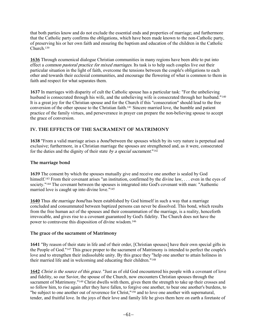that both parties know and do not exclude the essential ends and properties of marriage; and furthermore that the Catholic party confirms the obligations, which have been made known to the non-Catholic party, of preserving his or her own faith and ensuring the baptism and education of the children in the Catholic Church.<sup>139</sup>

**[1636](javascript:openWindow()** Through ecumenical dialogue Christian communities in many regions have been able to put into effect a *common pastoral practice for mixed marriages*. Its task is to help such couples live out their particular situation in the light of faith, overcome the tensions between the couple's obligations to each other and towards their ecclesial communities, and encourage the flowering of what is common to them in faith and respect for what separates them.

**1637** In marriages with disparity of cult the Catholic spouse has a particular task: "For the unbelieving husband is consecrated through his wife, and the unbelieving wife is consecrated through her husband."<sup>140</sup> It is a great joy for the Christian spouse and for the Church if this "consecration" should lead to the free conversion of the other spouse to the Christian faith.<sup>141</sup> Sincere married love, the humble and patient practice of the family virtues, and perseverance in prayer can prepare the non-believing spouse to accept the grace of conversion.

## **IV. THE EFFECTS OF THE SACRAMENT OF MATRIMONY**

**1638** "From a valid marriage arises a bond between the spouses which by its very nature is perpetual and exclusive; furthermore, in a Christian marriage the spouses are strengthened and, as it were, consecrated for the duties and the dignity of their state by a special sacrament." $142$ 

## **The marriage bond**

**1639** The consent by which the spouses mutually give and receive one another is sealed by God himself.<sup>143</sup> From their covenant arises "an institution, confirmed by the divine law, ... even in the eyes of society."<sup>144</sup> The covenant between the spouses is integrated into God's covenant with man: "Authentic married love is caught up into divine love."<sup>145</sup>

**[1640](javascript:openWindow()** Thus the marriage bond has been established by God himself in such a way that a marriage concluded and consummated between baptized persons can never be dissolved. This bond, which results from the free human act of the spouses and their consummation of the marriage, is a reality, henceforth irrevocable, and gives rise to a covenant guaranteed by God's fidelity. The Church does not have the power to contravene this disposition of divine wisdom.<sup>146</sup>

## **The grace of the sacrament of Matrimony**

**1641** "By reason of their state in life and of their order, [Christian spouses] have their own special gifts in the People of God."<sup>147</sup> This grace proper to the sacrament of Matrimony is intended to perfect the couple's love and to strengthen their indissoluble unity. By this grace they "help one another to attain holiness in their married life and in welcoming and educating their children."<sup>148</sup>

**[1642](javascript:openWindow()** Christ is the source of this grace. "Just as of old God encountered his people with a covenant of love and fidelity, so our Savior, the spouse of the Church, now encounters Christian spouses through the sacrament of Matrimony."<sup>149</sup> Christ dwells with them, gives them the strength to take up their crosses and so follow him, to rise again after they have fallen, to forgive one another, to bear one another's burdens, to "be subject to one another out of reverence for Christ,"<sup>150</sup> and to love one another with supernatural, tender, and fruitful love. In the joys of their love and family life he gives them here on earth a foretaste of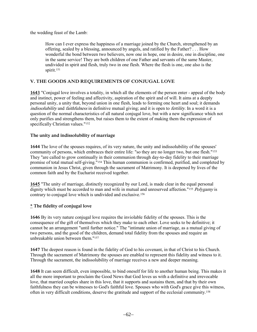the wedding feast of the Lamb:

How can I ever express the happiness of a marriage joined by the Church, strengthened by an offering, sealed by a blessing, announced by angels, and ratified by the Father? . . . How wonderful the bond between two believers, now one in hope, one in desire, one in discipline, one in the same service! They are both children of one Father and servants of the same Master, undivided in spirit and flesh, truly two in one flesh. Where the flesh is one, one also is the spirit.<sup>151</sup>

## **V. THE GOODS AND REQUIREMENTS OF CONJUGAL LOVE**

**[1643](javascript:openWindow()** "Conjugal love involves a totality, in which all the elements of the person enter - appeal of the body and instinct, power of feeling and affectivity, aspiration of the spirit and of will. It aims at a deeply personal unity, a unity that, beyond union in one flesh, leads to forming one heart and soul; it demands indissolubility and faithfulness in definitive mutual giving; and it is open to fertility. In a word it is a question of the normal characteristics of all natural conjugal love, but with a new significance which not only purifies and strengthens them, but raises them to the extent of making them the expression of specifically Christian values."<sup>152</sup>

## **The unity and indissolubility of marriage**

**1644** The love of the spouses requires, of its very nature, the unity and indissolubility of the spouses' community of persons, which embraces their entire life: "so they are no longer two, but one flesh."<sup>153</sup> They "are called to grow continually in their communion through day-to-day fidelity to their marriage promise of total mutual self-giving."<sup>154</sup> This human communion is confirmed, purified, and completed by communion in Jesus Christ, given through the sacrament of Matrimony. It is deepened by lives of the common faith and by the Eucharist received together.

**[1645](javascript:openWindow()** "The unity of marriage, distinctly recognized by our Lord, is made clear in the equal personal dignity which must be accorded to man and wife in mutual and unreserved affection."<sup>155</sup> Polygamy is contrary to conjugal love which is undivided and exclusive.<sup>156</sup>

## [\\*](javascript:openWindow() **The fidelity of conjugal love**

**1646** By its very nature conjugal love requires the inviolable fidelity of the spouses. This is the consequence of the gift of themselves which they make to each other. Love seeks to be definitive; it cannot be an arrangement "until further notice." The "intimate union of marriage, as a mutual giving of two persons, and the good of the children, demand total fidelity from the spouses and require an unbreakable union between them."<sup>157</sup>

**1647** The deepest reason is found in the fidelity of God to his covenant, in that of Christ to his Church. Through the sacrament of Matrimony the spouses are enabled to represent this fidelity and witness to it. Through the sacrament, the indissolubility of marriage receives a new and deeper meaning.

**1648** It can seem difficult, even impossible, to bind oneself for life to another human being. This makes it all the more important to proclaim the Good News that God loves us with a definitive and irrevocable love, that married couples share in this love, that it supports and sustains them, and that by their own faithfulness they can be witnesses to God's faithful love. Spouses who with God's grace give this witness, often in very difficult conditions, deserve the gratitude and support of the ecclesial community.158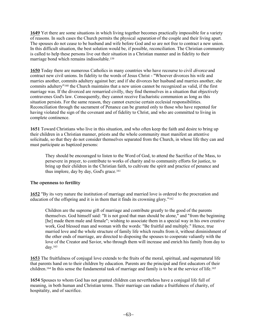**[1649](javascript:openWindow()** Yet there are some situations in which living together becomes practically impossible for a variety of reasons. In such cases the Church permits the physical separation of the couple and their living apart. The spouses do not cease to be husband and wife before God and so are not free to contract a new union. In this difficult situation, the best solution would be, if possible, reconciliation. The Christian community is called to help these persons live out their situation in a Christian manner and in fidelity to their marriage bond which remains indissoluble.<sup>159</sup>

**[1650](javascript:openWindow()** Today there are numerous Catholics in many countries who have recourse to civil divorce and contract new civil unions. In fidelity to the words of Jesus Christ - "Whoever divorces his wife and marries another, commits adultery against her; and if she divorces her husband and marries another, she commits adultery"<sup>160</sup> the Church maintains that a new union cannot be recognized as valid, if the first marriage was. If the divorced are remarried civilly, they find themselves in a situation that objectively contravenes God's law. Consequently, they cannot receive Eucharistic communion as long as this situation persists. For the same reason, they cannot exercise certain ecclesial responsibilities. Reconciliation through the sacrament of Penance can be granted only to those who have repented for having violated the sign of the covenant and of fidelity to Christ, and who are committed to living in complete continence.

**1651** Toward Christians who live in this situation, and who often keep the faith and desire to bring up their children in a Christian manner, priests and the whole community must manifest an attentive solicitude, so that they do not consider themselves separated from the Church, in whose life they can and must participate as baptized persons:

They should be encouraged to listen to the Word of God, to attend the Sacrifice of the Mass, to persevere in prayer, to contribute to works of charity and to community efforts for justice, to bring up their children in the Christian faith, to cultivate the spirit and practice of penance and thus implore, day by day, God's grace.<sup>161</sup>

## **The openness to fertility**

**[1652](javascript:openWindow()** "By its very nature the institution of marriage and married love is ordered to the procreation and education of the offspring and it is in them that it finds its crowning glory."<sup>162</sup>

Children are the supreme gift of marriage and contribute greatly to the good of the parents themselves. God himself said: "It is not good that man should be alone," and "from the beginning [he] made them male and female"; wishing to associate them in a special way in his own creative work, God blessed man and woman with the words: "Be fruitful and multiply." Hence, true married love and the whole structure of family life which results from it, without diminishment of the other ends of marriage, are directed to disposing the spouses to cooperate valiantly with the love of the Creator and Savior, who through them will increase and enrich his family from day to day.<sup>163</sup>

**[1653](javascript:openWindow()** The fruitfulness of conjugal love extends to the fruits of the moral, spiritual, and supernatural life that parents hand on to their children by education. Parents are the principal and first educators of their children.<sup>164</sup> In this sense the fundamental task of marriage and family is to be at the service of life.<sup>165</sup>

**1654** Spouses to whom God has not granted children can nevertheless have a conjugal life full of meaning, in both human and Christian terms. Their marriage can radiate a fruitfulness of charity, of hospitality, and of sacrifice.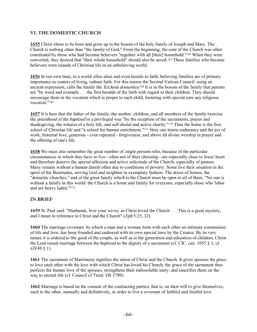## **VI. THE DOMESTIC CHURCH**

**[1655](javascript:openWindow()** Christ chose to be born and grow up in the bosom of the holy family of Joseph and Mary. The Church is nothing other than "the family of God." From the beginning, the core of the Church was often constituted by those who had become believers "together with all [their] household."<sup>166</sup> When they were converted, they desired that "their whole household" should also be saved.<sup>167</sup> These families who became believers were islands of Christian life in an unbelieving world.

**[1656](javascript:openWindow()** In our own time, in a world often alien and even hostile to faith, believing families are of primary importance as centers of living, radiant faith. For this reason the Second Vatican Council, using an ancient expression, calls the family the *Ecclesia domestica*.<sup>168</sup> It is in the bosom of the family that parents are "by word and example . . . the first heralds of the faith with regard to their children. They should encourage them in the vocation which is proper to each child, fostering with special care any religious vocation."<sup>169</sup>

**[1657](javascript:openWindow()** It is here that the father of the family, the mother, children, and all members of the family exercise the *priesthood of the baptized* in a privileged way "by the reception of the sacraments, prayer and thanksgiving, the witness of a holy life, and self-denial and active charity."<sup>170</sup> Thus the home is the first school of Christian life and "a school for human enrichment."<sup>171</sup> Here one learns endurance and the joy of work, fraternal love, generous - even repeated - forgiveness, and above all divine worship in prayer and the offering of one's life.

**[1658](javascript:openWindow()** We must also remember the great number of single persons who, because of the particular circumstances in which they have to live - often not of their choosing - are especially close to Jesus' heart and therefore deserve the special affection and active solicitude of the Church, especially of pastors. Many remain without a human family often due to conditions of poverty. Some live their situation in the spirit of the Beatitudes, serving God and neighbor in exemplary fashion. The doors of homes, the "domestic churches," and of the great family which is the Church must be open to all of them. "No one is without a family in this world: the Church is a home and family for everyone, especially those who 'labor and are heavy laden.'"<sup>172</sup>

## **IN BRIEF**

**1659** St. Paul said: "Husbands, love your wives, as Christ loved the Church . . . This is a great mystery, and I mean in reference to Christ and the Church" (Eph 5:25, 32).

**1660** The marriage covenant, by which a man and a woman form with each other an intimate communion of life and love, has been founded and endowed with its own special laws by the Creator. By its very nature it is ordered to the good of the couple, as well as to the generation and education of children. Christ the Lord raised marriage between the baptized to the dignity of a sacrament (cf. CIC, can. 1055  $\S$  1; cf.  $GS 48 \S 1$ ).

**1661** The sacrament of Matrimony signifies the union of Christ and the Church. It gives spouses the grace to love each other with the love with which Christ has loved his Church; the grace of the sacrament thus perfects the human love of the spouses, strengthens their indissoluble unity, and sanctifies them on the way to eternal life (cf. Council of Trent: DS 1799).

**1662** Marriage is based on the consent of the contracting parties, that is, on their will to give themselves, each to the other, mutually and definitively, in order to live a covenant of faithful and fruitful love.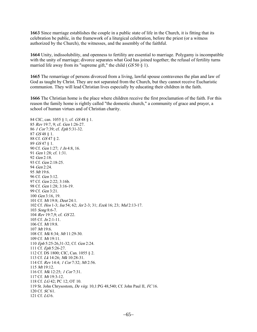**1663** Since marriage establishes the couple in a public state of life in the Church, it is fitting that its celebration be public, in the framework of a liturgical celebration, before the priest (or a witness authorized by the Church), the witnesses, and the assembly of the faithful.

**1664** Unity, indissolubility, and openness to fertility are essential to marriage. Polygamy is incompatible with the unity of marriage; divorce separates what God has joined together; the refusal of fertility turns married life away from its "supreme gift," the child  $(GS 50 \S 1)$ .

**1665** The remarriage of persons divorced from a living, lawful spouse contravenes the plan and law of God as taught by Christ. They are not separated from the Church, but they cannot receive Eucharistic communion. They will lead Christian lives especially by educating their children in the faith.

**1666** The Christian home is the place where children receive the first proclamation of the faith. For this reason the family home is rightly called "the domestic church," a community of grace and prayer, a school of human virtues and of Christian charity.

84 CIC, can. 1055 § 1; cf. GS 48 § 1. 85 Rev 19:7, 9; cf. Gen 1:26-27. 86 1 Cor 7:39; cf. Eph 5:31-32. 87 GS 48 § 1. 88 Cf. GS 47 § 2. 89 GS 47 § 1. 90 Cf. Gen 1:27; 1 Jn 4:8, 16. 91 Gen 1:28; cf. 1:31. 92 Gen 2:18. 93 Cf. Gen 2:18-25. 94 Gen 2:24. 95 Mt 19:6. 96 Cf. Gen 3:12. 97 Cf. Gen 2:22; 3:16b. 98 Cf. Gen 1:28; 3:16-19. 99 Cf. Gen 3:21. 100 Gen 3:16, 19. 101 Cf. Mt 19:8; Deut 24:1. 102 Cf. Hos 1-3; Isa 54; 62; Jer 2-3; 31; Ezek 16; 23; Mal 2:13-17. 103 Song 8:6-7. 104 Rev 19:7,9; cf. GS 22. 105 Cf. Jn 2:1-11. 106 Cf. Mt 19:8. 107 Mt 19:6. 108 Cf. Mk 8:34; Mt 11:29-30. 109 Cf. Mt 19:11. 110 Eph 5:25-26,31-32; Cf. Gen 2:24. 111 Cf. Eph 5:26-27. 112 Cf. DS 1800; CIC, Can. 1055 § 2. 113 Cf. Lk 14:26; Mk 10:28-31. 114 Cf. Rev 14:4; 1 Cor 7:32; Mt 2:56. 115 Mt 19:12. 116 Cf. Mk 12:25; 1 Cor 7:31. 117 Cf. Mt 19:3-12. 118 Cf. LG 42; PC 12; OT 10. 119 St. John Chrysostom, De virg. 10,1:PG 48,540; Cf. John Paul II, FC 16. 120 Cf. SC 61. 121 Cf. LG 6.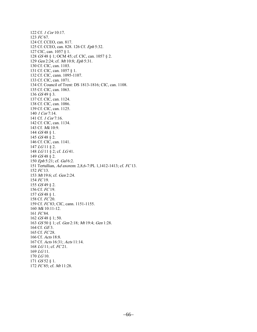122 Cf. 1 Cor 10:17. 123 FC 67. 124 Cf. CCEO, can. 817. 125 Cf. CCEO, can. 828. 126 Cf. Eph 5:32. 127 CIC, can. 1057 § 1. 128 GS 48 § 1; OCM 45; cf. CIC, can. 1057 § 2. 129 Gen 2:24; cf. Mt 10:8; Eph 5:31. 130 Cf. CIC, can. 1103. 131 Cf. CIC, can. 1057 § 1. 132 Cf. CIC, cann. 1095-1107. 133 Cf. CIC, can. 1071. 134 Cf. Council of Trent: DS 1813-1816; CIC, can. 1108. 135 Cf. CIC, can. 1063. 136 GS 49 § 3. 137 Cf. CIC, can. 1124. 138 Cf. CIC, can. 1086. 139 Cf. CIC, can. 1125. 140 1 Cor 7:14. 141 Cf. 1 Cor 7:16. 142 Cf. CIC, can. 1134. 143 Cf. Mk 10:9. 144 GS 48 § 1. 145 GS 48 § 2. 146 Cf. CIC, can. 1141. 147 LG 11 § 2. 148 *LG* 11 § 2; cf. *LG* 41. 149 GS 48 § 2. 150 *Eph* 5:21; cf. *Gal* 6:2. 151 Tertullian, Ad uxorem. 2,8,6-7:PL 1,1412-1413; cf. FC 13. 152 FC 13. 153 Mt 19:6; cf. Gen 2:24. 154 FC 19. 155 GS 49 § 2. 156 Cf. FC 19. 157 GS 48 § 1. 158 Cf. FC 20. 159 Cf. FC 83; CIC, cann. 1151-1155. 160 Mk 10:11-12. 161 FC 84. 162 GS 48 § 1; 50. 163 GS 50 § 1; cf. Gen 2:18; Mt 19:4; Gen 1:28. 164 Cf. GE 3. 165 Cf. FC 28. 166 Cf. Acts 18:8. 167 Cf. Acts 16:31; Acts 11:14. 168 *LG* 11; cf. *FC* 21. 169 LG 11. 170 LG 10. 171 GS 52 § 1. 172 *FC* 85; cf. *Mt* 11:28.